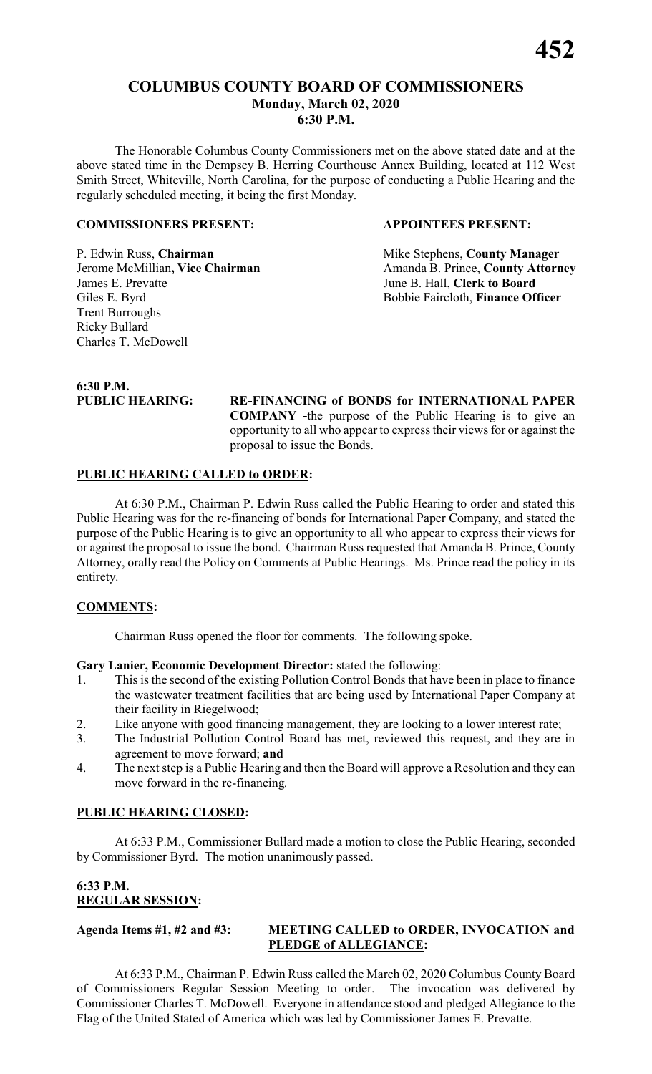# **COLUMBUS COUNTY BOARD OF COMMISSIONERS Monday, March 02, 2020 6:30 P.M.**

The Honorable Columbus County Commissioners met on the above stated date and at the above stated time in the Dempsey B. Herring Courthouse Annex Building, located at 112 West Smith Street, Whiteville, North Carolina, for the purpose of conducting a Public Hearing and the regularly scheduled meeting, it being the first Monday.

### **COMMISSIONERS PRESENT: APPOINTEES PRESENT:**

P. Edwin Russ, **Chairman** Mike Stephens, **County Manager** James E. Prevatte<br>
Giles E. Byrd<br>
Giles E. Byrd<br>
Giles E. Byrd<br>
Giles E. Byrd<br>
Giles E. Byrd<br>
Giles E. Byrd<br>
Giles E. Byrd<br>
Giles E. Byrd<br>
Giles E. Byrd<br>
Giles E. Byrd<br>
Giles E. Byrd<br>
Giles E. Byrd<br>
Giles E. Byrd<br>
Giles E. Trent Burroughs Ricky Bullard Charles T. McDowell

**Jerome McMillian, Vice Chairman** Amanda B. Prince, **County Attorney** Bobbie Faircloth, **Finance Officer** 

# **6:30 P.M.**

**PUBLIC HEARING: RE-FINANCING of BONDS for INTERNATIONAL PAPER COMPANY -**the purpose of the Public Hearing is to give an opportunity to all who appear to express their views for or against the proposal to issue the Bonds.

## **PUBLIC HEARING CALLED to ORDER:**

At 6:30 P.M., Chairman P. Edwin Russ called the Public Hearing to order and stated this Public Hearing was for the re-financing of bonds for International Paper Company, and stated the purpose of the Public Hearing is to give an opportunity to all who appear to express their views for or against the proposal to issue the bond. Chairman Russ requested that Amanda B. Prince, County Attorney, orally read the Policy on Comments at Public Hearings. Ms. Prince read the policy in its entirety.

# **COMMENTS:**

Chairman Russ opened the floor for comments. The following spoke.

**Gary Lanier, Economic Development Director:** stated the following:

- 1. This is the second of the existing Pollution Control Bonds that have been in place to finance the wastewater treatment facilities that are being used by International Paper Company at their facility in Riegelwood;
- 2. Like anyone with good financing management, they are looking to a lower interest rate;
- 3. The Industrial Pollution Control Board has met, reviewed this request, and they are in agreement to move forward; **and**
- 4. The next step is a Public Hearing and then the Board will approve a Resolution and they can move forward in the re-financing.

### **PUBLIC HEARING CLOSED:**

At 6:33 P.M., Commissioner Bullard made a motion to close the Public Hearing, seconded by Commissioner Byrd. The motion unanimously passed.

# **6:33 P.M. REGULAR SESSION:**

# **Agenda Items #1, #2 and #3: MEETING CALLED to ORDER, INVOCATION and PLEDGE of ALLEGIANCE:**

At 6:33 P.M., Chairman P. Edwin Russ called the March 02, 2020 Columbus County Board of Commissioners Regular Session Meeting to order. The invocation was delivered by Commissioner Charles T. McDowell. Everyone in attendance stood and pledged Allegiance to the Flag of the United Stated of America which was led by Commissioner James E. Prevatte.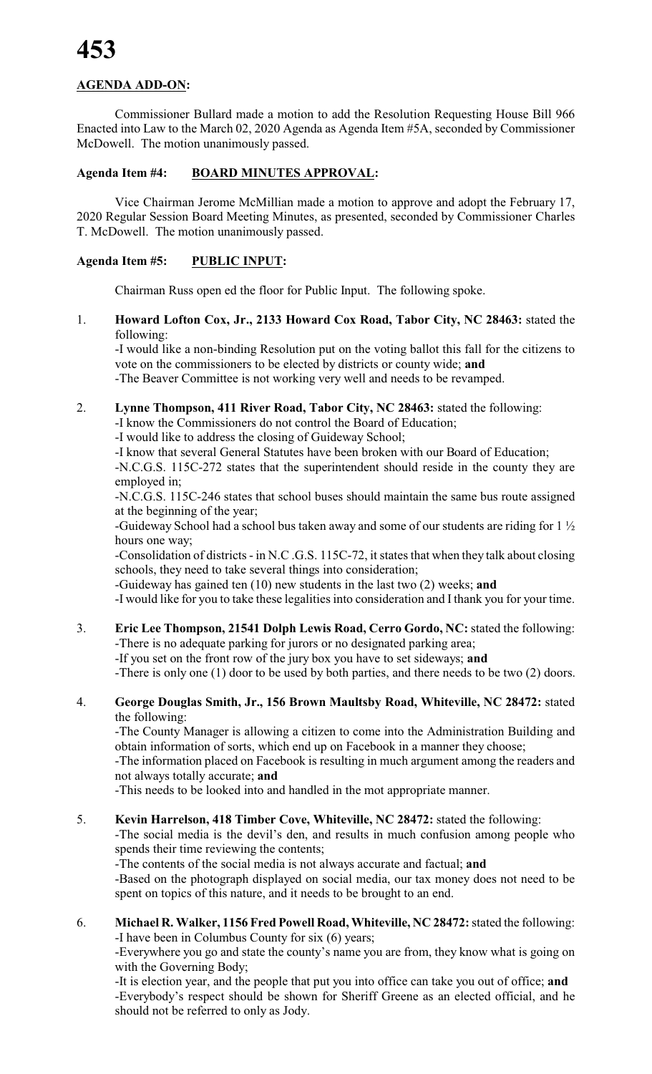# **AGENDA ADD-ON:**

Commissioner Bullard made a motion to add the Resolution Requesting House Bill 966 Enacted into Law to the March 02, 2020 Agenda as Agenda Item #5A, seconded by Commissioner McDowell. The motion unanimously passed.

# **Agenda Item #4: BOARD MINUTES APPROVAL:**

Vice Chairman Jerome McMillian made a motion to approve and adopt the February 17, 2020 Regular Session Board Meeting Minutes, as presented, seconded by Commissioner Charles T. McDowell. The motion unanimously passed.

# **Agenda Item #5: PUBLIC INPUT:**

Chairman Russ open ed the floor for Public Input. The following spoke.

1. **Howard Lofton Cox, Jr., 2133 Howard Cox Road, Tabor City, NC 28463:** stated the following:

-I would like a non-binding Resolution put on the voting ballot this fall for the citizens to vote on the commissioners to be elected by districts or county wide; **and** -The Beaver Committee is not working very well and needs to be revamped.

2. **Lynne Thompson, 411 River Road, Tabor City, NC 28463:** stated the following:

-I know the Commissioners do not control the Board of Education;

-I would like to address the closing of Guideway School;

-I know that several General Statutes have been broken with our Board of Education;

-N.C.G.S. 115C-272 states that the superintendent should reside in the county they are employed in;

-N.C.G.S. 115C-246 states that school buses should maintain the same bus route assigned at the beginning of the year;

-Guideway School had a school bus taken away and some of our students are riding for 1 ½ hours one way;

-Consolidation of districts - in N.C .G.S. 115C-72, it states that when they talk about closing schools, they need to take several things into consideration;

-Guideway has gained ten (10) new students in the last two (2) weeks; **and**

-I would like for you to take these legalities into consideration and I thank you for your time.

3. **Eric Lee Thompson, 21541 Dolph Lewis Road, Cerro Gordo, NC:** stated the following: -There is no adequate parking for jurors or no designated parking area;

-If you set on the front row of the jury box you have to set sideways; **and**

-There is only one (1) door to be used by both parties, and there needs to be two (2) doors.

### 4. **George Douglas Smith, Jr., 156 Brown Maultsby Road, Whiteville, NC 28472:** stated the following:

-The County Manager is allowing a citizen to come into the Administration Building and obtain information of sorts, which end up on Facebook in a manner they choose;

-The information placed on Facebook is resulting in much argument among the readers and not always totally accurate; **and**

-This needs to be looked into and handled in the mot appropriate manner.

### 5. **Kevin Harrelson, 418 Timber Cove, Whiteville, NC 28472:** stated the following:

-The social media is the devil's den, and results in much confusion among people who spends their time reviewing the contents;

-The contents of the social media is not always accurate and factual; **and**

-Based on the photograph displayed on social media, our tax money does not need to be spent on topics of this nature, and it needs to be brought to an end.

6. **Michael R. Walker, 1156 Fred Powell Road, Whiteville, NC 28472:**stated the following: -I have been in Columbus County for six (6) years;

-Everywhere you go and state the county's name you are from, they know what is going on with the Governing Body;

-It is election year, and the people that put you into office can take you out of office; **and** -Everybody's respect should be shown for Sheriff Greene as an elected official, and he should not be referred to only as Jody.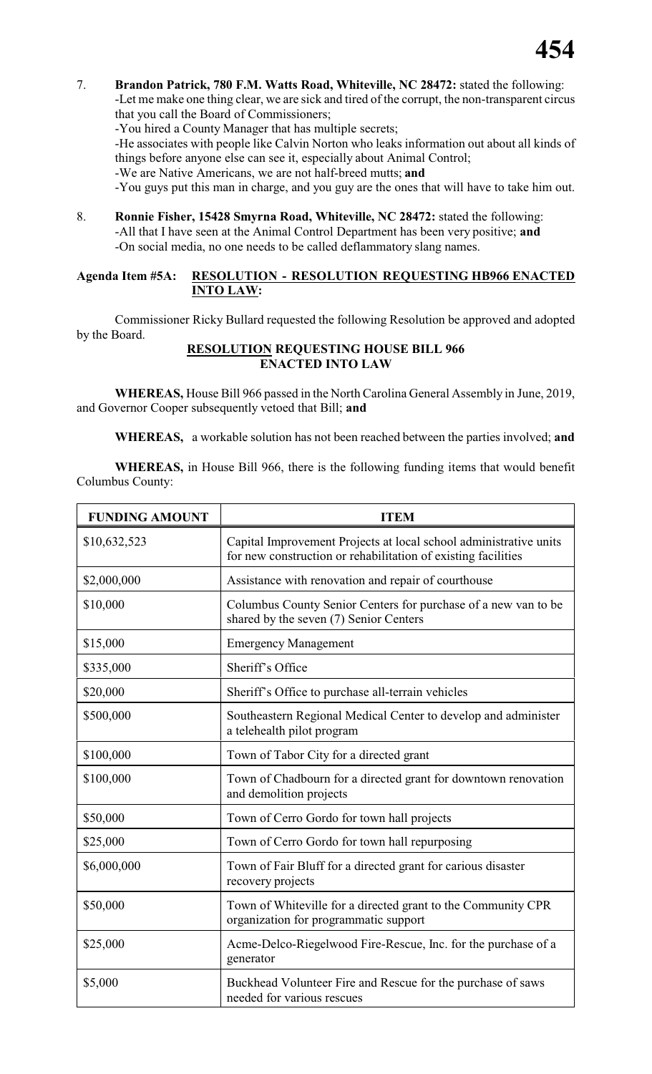7. **Brandon Patrick, 780 F.M. Watts Road, Whiteville, NC 28472:** stated the following: -Let me make one thing clear, we are sick and tired of the corrupt, the non-transparent circus

that you call the Board of Commissioners;

-You hired a County Manager that has multiple secrets;

-He associates with people like Calvin Norton who leaks information out about all kinds of things before anyone else can see it, especially about Animal Control;

-We are Native Americans, we are not half-breed mutts; **and**

-You guys put this man in charge, and you guy are the ones that will have to take him out.

8. **Ronnie Fisher, 15428 Smyrna Road, Whiteville, NC 28472:** stated the following: -All that I have seen at the Animal Control Department has been very positive; **and** -On social media, no one needs to be called deflammatory slang names.

# **Agenda Item #5A: RESOLUTION - RESOLUTION REQUESTING HB966 ENACTED INTO LAW:**

Commissioner Ricky Bullard requested the following Resolution be approved and adopted by the Board.

# **RESOLUTION REQUESTING HOUSE BILL 966 ENACTED INTO LAW**

**WHEREAS,** House Bill 966 passed in the North Carolina General Assembly in June, 2019, and Governor Cooper subsequently vetoed that Bill; **and**

**WHEREAS,** a workable solution has not been reached between the parties involved; **and**

**WHEREAS,** in House Bill 966, there is the following funding items that would benefit Columbus County:

| <b>FUNDING AMOUNT</b> | <b>ITEM</b>                                                                                                                        |
|-----------------------|------------------------------------------------------------------------------------------------------------------------------------|
| \$10,632,523          | Capital Improvement Projects at local school administrative units<br>for new construction or rehabilitation of existing facilities |
| \$2,000,000           | Assistance with renovation and repair of courthouse                                                                                |
| \$10,000              | Columbus County Senior Centers for purchase of a new van to be<br>shared by the seven (7) Senior Centers                           |
| \$15,000              | <b>Emergency Management</b>                                                                                                        |
| \$335,000             | Sheriff's Office                                                                                                                   |
| \$20,000              | Sheriff's Office to purchase all-terrain vehicles                                                                                  |
| \$500,000             | Southeastern Regional Medical Center to develop and administer<br>a telehealth pilot program                                       |
| \$100,000             | Town of Tabor City for a directed grant                                                                                            |
| \$100,000             | Town of Chadbourn for a directed grant for downtown renovation<br>and demolition projects                                          |
| \$50,000              | Town of Cerro Gordo for town hall projects                                                                                         |
| \$25,000              | Town of Cerro Gordo for town hall repurposing                                                                                      |
| \$6,000,000           | Town of Fair Bluff for a directed grant for carious disaster<br>recovery projects                                                  |
| \$50,000              | Town of Whiteville for a directed grant to the Community CPR<br>organization for programmatic support                              |
| \$25,000              | Acme-Delco-Riegelwood Fire-Rescue, Inc. for the purchase of a<br>generator                                                         |
| \$5,000               | Buckhead Volunteer Fire and Rescue for the purchase of saws<br>needed for various rescues                                          |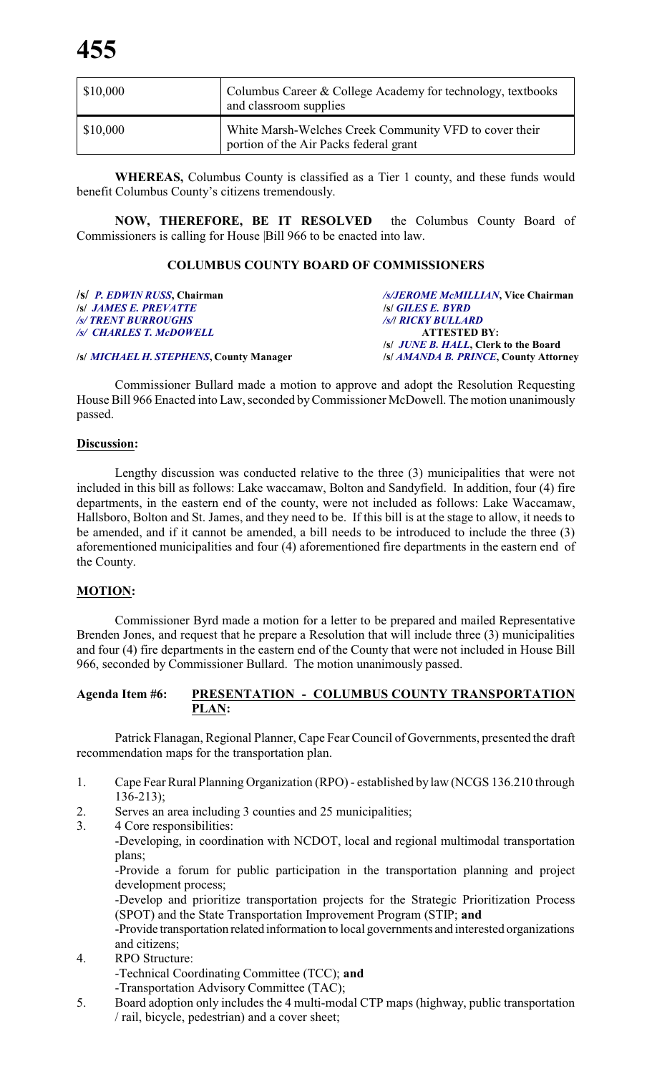| \$10,000 | Columbus Career & College Academy for technology, textbooks<br>and classroom supplies            |
|----------|--------------------------------------------------------------------------------------------------|
| \$10,000 | White Marsh-Welches Creek Community VFD to cover their<br>portion of the Air Packs federal grant |

**WHEREAS,** Columbus County is classified as a Tier 1 county, and these funds would benefit Columbus County's citizens tremendously.

**NOW, THEREFORE, BE IT RESOLVED** the Columbus County Board of Commissioners is calling for House |Bill 966 to be enacted into law.

# **COLUMBUS COUNTY BOARD OF COMMISSIONERS**

*/s/ JAMES E. PREVATTE /s/ TRENT BURROUGHS /s/ CHARLES T. McDOWELL* **ATTESTED BY:**

**/s/** *P. EDWIN RUSS***, Chairman** */s/JEROME McMILLIAN***, Vice Chairman** */s/ TRENT BURROUGHS /s/***/** *RICKY BULLARD* **/s/** *JUNE B. HALL***, Clerk to the Board**

**/s/** *MICHAEL H. STEPHENS***, County Manager /s/** *AMANDA B. PRINCE***, County Attorney**

Commissioner Bullard made a motion to approve and adopt the Resolution Requesting House Bill 966 Enacted into Law, seconded byCommissioner McDowell. The motion unanimously passed.

### **Discussion:**

Lengthy discussion was conducted relative to the three (3) municipalities that were not included in this bill as follows: Lake waccamaw, Bolton and Sandyfield. In addition, four (4) fire departments, in the eastern end of the county, were not included as follows: Lake Waccamaw, Hallsboro, Bolton and St. James, and they need to be. If this bill is at the stage to allow, it needs to be amended, and if it cannot be amended, a bill needs to be introduced to include the three (3) aforementioned municipalities and four (4) aforementioned fire departments in the eastern end of the County.

# **MOTION:**

Commissioner Byrd made a motion for a letter to be prepared and mailed Representative Brenden Jones, and request that he prepare a Resolution that will include three (3) municipalities and four (4) fire departments in the eastern end of the County that were not included in House Bill 966, seconded by Commissioner Bullard. The motion unanimously passed.

# **Agenda Item #6: PRESENTATION - COLUMBUS COUNTY TRANSPORTATION PLAN:**

Patrick Flanagan, Regional Planner, Cape Fear Council of Governments, presented the draft recommendation maps for the transportation plan.

- 1. Cape Fear Rural Planning Organization (RPO) established by law (NCGS 136.210 through 136-213);
- 2. Serves an area including 3 counties and 25 municipalities;
- 3. 4 Core responsibilities:

-Developing, in coordination with NCDOT, local and regional multimodal transportation plans;

-Provide a forum for public participation in the transportation planning and project development process;

-Develop and prioritize transportation projects for the Strategic Prioritization Process (SPOT) and the State Transportation Improvement Program (STIP; **and**

-Provide transportation related information to local governments and interested organizations and citizens;

- 4. RPO Structure: -Technical Coordinating Committee (TCC); **and** -Transportation Advisory Committee (TAC);
- 5. Board adoption only includes the 4 multi-modal CTP maps (highway, public transportation / rail, bicycle, pedestrian) and a cover sheet;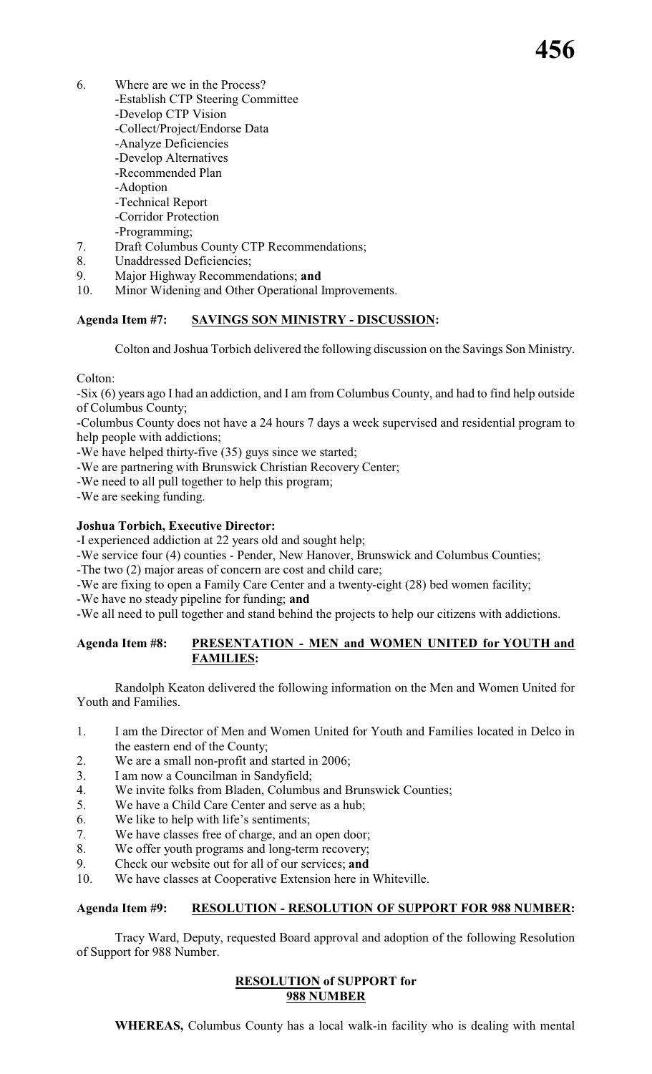- 6. Where are we in the Process? -Establish CTP Steering Committee -Develop CTP Vision -Collect/Project/Endorse Data -Analyze Deficiencies -Develop Alternatives -Recommended Plan -Adoption -Technical Report -Corridor Protection -Programming;
- 7. Draft Columbus County CTP Recommendations;
- 8. Unaddressed Deficiencies;
- 9. Major Highway Recommendations; **and**
- 10. Minor Widening and Other Operational Improvements.

# **Agenda Item #7: SAVINGS SON MINISTRY - DISCUSSION:**

Colton and Joshua Torbich delivered the following discussion on the Savings Son Ministry.

### Colton:

-Six (6) years ago I had an addiction, and I am from Columbus County, and had to find help outside of Columbus County;

-Columbus County does not have a 24 hours 7 days a week supervised and residential program to help people with addictions;

-We have helped thirty-five (35) guys since we started;

-We are partnering with Brunswick Christian Recovery Center;

-We need to all pull together to help this program;

-We are seeking funding.

### **Joshua Torbich, Executive Director:**

-I experienced addiction at 22 years old and sought help;

-We service four (4) counties - Pender, New Hanover, Brunswick and Columbus Counties;

-The two (2) major areas of concern are cost and child care;

-We are fixing to open a Family Care Center and a twenty-eight (28) bed women facility;

-We have no steady pipeline for funding; **and**

-We all need to pull together and stand behind the projects to help our citizens with addictions.

### **Agenda Item #8: PRESENTATION - MEN and WOMEN UNITED for YOUTH and FAMILIES:**

Randolph Keaton delivered the following information on the Men and Women United for Youth and Families.

- 1. I am the Director of Men and Women United for Youth and Families located in Delco in the eastern end of the County;
- 2. We are a small non-profit and started in 2006;
- 3. I am now a Councilman in Sandyfield;
- 4. We invite folks from Bladen, Columbus and Brunswick Counties;
- 5. We have a Child Care Center and serve as a hub;
- 6. We like to help with life's sentiments;
- 7. We have classes free of charge, and an open door;
- 8. We offer youth programs and long-term recovery;
- 9. Check our website out for all of our services; **and**
- 10. We have classes at Cooperative Extension here in Whiteville.

### **Agenda Item #9: RESOLUTION - RESOLUTION OF SUPPORT FOR 988 NUMBER:**

Tracy Ward, Deputy, requested Board approval and adoption of the following Resolution of Support for 988 Number.

### **RESOLUTION of SUPPORT for 988 NUMBER**

**WHEREAS,** Columbus County has a local walk-in facility who is dealing with mental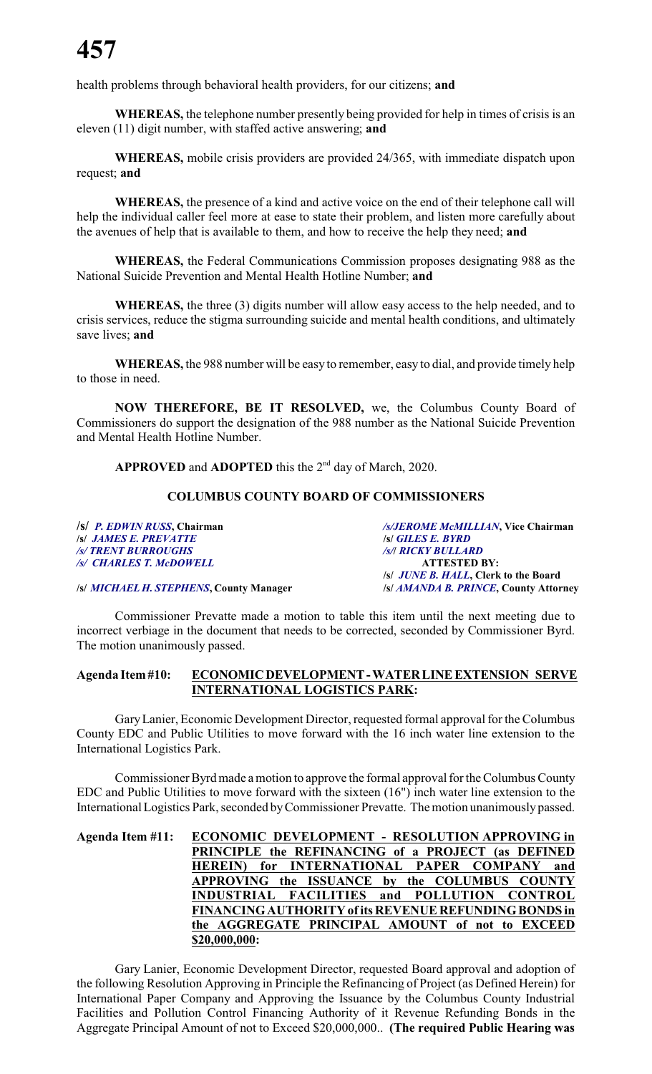health problems through behavioral health providers, for our citizens; **and**

**WHEREAS,** the telephone number presently being provided for help in times of crisis is an eleven (11) digit number, with staffed active answering; **and**

**WHEREAS,** mobile crisis providers are provided 24/365, with immediate dispatch upon request; **and**

**WHEREAS,** the presence of a kind and active voice on the end of their telephone call will help the individual caller feel more at ease to state their problem, and listen more carefully about the avenues of help that is available to them, and how to receive the help they need; **and**

**WHEREAS,** the Federal Communications Commission proposes designating 988 as the National Suicide Prevention and Mental Health Hotline Number; **and**

**WHEREAS,** the three (3) digits number will allow easy access to the help needed, and to crisis services, reduce the stigma surrounding suicide and mental health conditions, and ultimately save lives; **and**

**WHEREAS,** the 988 number will be easy to remember, easy to dial, and provide timely help to those in need.

**NOW THEREFORE, BE IT RESOLVED,** we, the Columbus County Board of Commissioners do support the designation of the 988 number as the National Suicide Prevention and Mental Health Hotline Number.

APPROVED and ADOPTED this the 2<sup>nd</sup> day of March, 2020.

### **COLUMBUS COUNTY BOARD OF COMMISSIONERS**

**/s/** *P. EDWIN RUSS***, Chairman** */s/JEROME McMILLIAN***, Vice Chairman /s/** *JAMES E. PREVATTE* **/s/** *GILES E. BYRD /s/ TRENT BURROUGHS /s/***/** *RICKY BULLARD /s/ CHARLES T. McDOWELL* **ATTESTED BY: /s/** *JUNE B. HALL***, Clerk to the Board**

**/s/** *MICHAEL H. STEPHENS***, County Manager /s/** *AMANDA B. PRINCE***, County Attorney**

Commissioner Prevatte made a motion to table this item until the next meeting due to incorrect verbiage in the document that needs to be corrected, seconded by Commissioner Byrd. The motion unanimously passed.

### **Agenda Item#10: ECONOMICDEVELOPMENT-WATERLINEEXTENSION SERVE INTERNATIONAL LOGISTICS PARK:**

GaryLanier, Economic Development Director, requested formal approval for the Columbus County EDC and Public Utilities to move forward with the 16 inch water line extension to the International Logistics Park.

Commissioner Byrd made a motion to approve the formal approval for the Columbus County EDC and Public Utilities to move forward with the sixteen (16") inch water line extension to the International Logistics Park, seconded byCommissioner Prevatte. The motion unanimously passed.

| Agenda Item #11: ECONOMIC DEVELOPMENT - RESOLUTION APPROVING in |
|-----------------------------------------------------------------|
| PRINCIPLE the REFINANCING of a PROJECT (as DEFINED              |
| HEREIN) for INTERNATIONAL PAPER COMPANY and                     |
| APPROVING the ISSUANCE by the COLUMBUS COUNTY                   |
| INDUSTRIAL FACILITIES and POLLUTION CONTROL                     |
| FINANCING AUTHORITY of its REVENUE REFUNDING BONDS in           |
| the AGGREGATE PRINCIPAL AMOUNT of not to EXCEED                 |
| \$20,000,000:                                                   |
|                                                                 |

Gary Lanier, Economic Development Director, requested Board approval and adoption of the following Resolution Approving in Principle the Refinancing of Project (as Defined Herein) for International Paper Company and Approving the Issuance by the Columbus County Industrial Facilities and Pollution Control Financing Authority of it Revenue Refunding Bonds in the Aggregate Principal Amount of not to Exceed \$20,000,000.. **(The required Public Hearing was**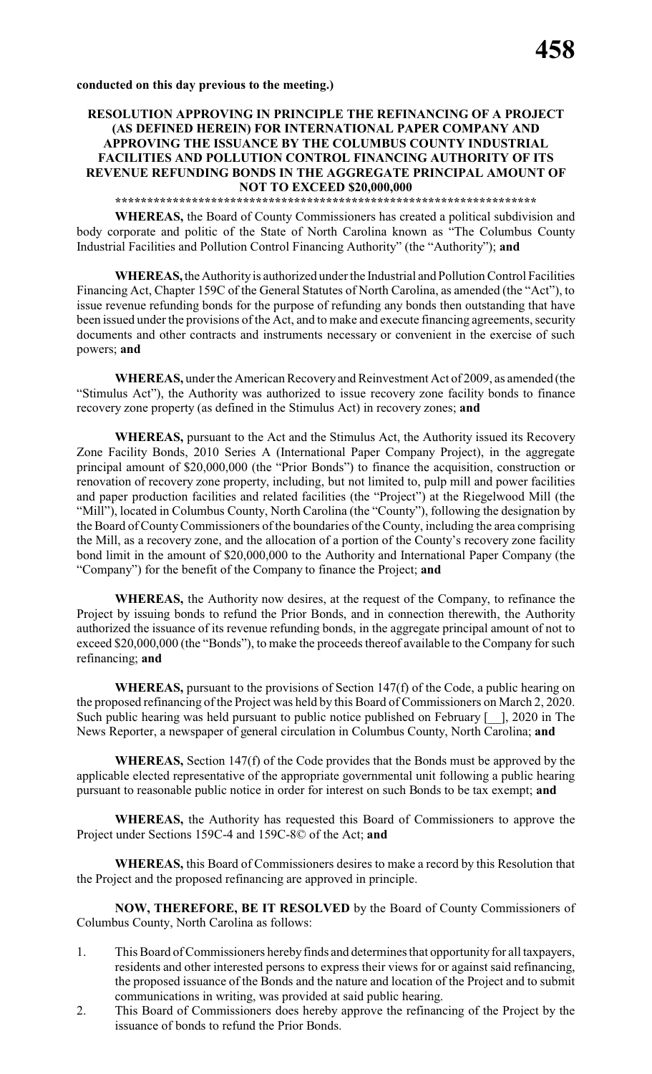## **RESOLUTION APPROVING IN PRINCIPLE THE REFINANCING OF A PROJECT (AS DEFINED HEREIN) FOR INTERNATIONAL PAPER COMPANY AND APPROVING THE ISSUANCE BY THE COLUMBUS COUNTY INDUSTRIAL FACILITIES AND POLLUTION CONTROL FINANCING AUTHORITY OF ITS REVENUE REFUNDING BONDS IN THE AGGREGATE PRINCIPAL AMOUNT OF NOT TO EXCEED \$20,000,000**

**\*\*\*\*\*\*\*\*\*\*\*\*\*\*\*\*\*\*\*\*\*\*\*\*\*\*\*\*\*\*\*\*\*\*\*\*\*\*\*\*\*\*\*\*\*\*\*\*\*\*\*\*\*\*\*\*\*\*\*\*\*\*\*\*\*\***

**WHEREAS,** the Board of County Commissioners has created a political subdivision and body corporate and politic of the State of North Carolina known as "The Columbus County Industrial Facilities and Pollution Control Financing Authority" (the "Authority"); **and**

**WHEREAS,** theAuthorityis authorized under the Industrial and Pollution Control Facilities Financing Act, Chapter 159C of the General Statutes of North Carolina, as amended (the "Act"), to issue revenue refunding bonds for the purpose of refunding any bonds then outstanding that have been issued under the provisions of the Act, and to make and execute financing agreements, security documents and other contracts and instruments necessary or convenient in the exercise of such powers; **and**

**WHEREAS,** under the American Recovery and Reinvestment Act of 2009, as amended (the "Stimulus Act"), the Authority was authorized to issue recovery zone facility bonds to finance recovery zone property (as defined in the Stimulus Act) in recovery zones; **and**

**WHEREAS,** pursuant to the Act and the Stimulus Act, the Authority issued its Recovery Zone Facility Bonds, 2010 Series A (International Paper Company Project), in the aggregate principal amount of \$20,000,000 (the "Prior Bonds") to finance the acquisition, construction or renovation of recovery zone property, including, but not limited to, pulp mill and power facilities and paper production facilities and related facilities (the "Project") at the Riegelwood Mill (the "Mill"), located in Columbus County, North Carolina (the "County"), following the designation by the Board of County Commissioners of the boundaries of the County, including the area comprising the Mill, as a recovery zone, and the allocation of a portion of the County's recovery zone facility bond limit in the amount of \$20,000,000 to the Authority and International Paper Company (the "Company") for the benefit of the Company to finance the Project; **and**

**WHEREAS,** the Authority now desires, at the request of the Company, to refinance the Project by issuing bonds to refund the Prior Bonds, and in connection therewith, the Authority authorized the issuance of its revenue refunding bonds, in the aggregate principal amount of not to exceed \$20,000,000 (the "Bonds"), to make the proceeds thereof available to the Company for such refinancing; **and**

**WHEREAS,** pursuant to the provisions of Section 147(f) of the Code, a public hearing on the proposed refinancing of the Project was held by this Board of Commissioners on March 2, 2020. Such public hearing was held pursuant to public notice published on February  $\lceil \quad \rceil$ , 2020 in The News Reporter, a newspaper of general circulation in Columbus County, North Carolina; **and**

**WHEREAS,** Section 147(f) of the Code provides that the Bonds must be approved by the applicable elected representative of the appropriate governmental unit following a public hearing pursuant to reasonable public notice in order for interest on such Bonds to be tax exempt; **and**

**WHEREAS,** the Authority has requested this Board of Commissioners to approve the Project under Sections 159C-4 and 159C-8© of the Act; **and**

**WHEREAS,** this Board of Commissioners desires to make a record by this Resolution that the Project and the proposed refinancing are approved in principle.

**NOW, THEREFORE, BE IT RESOLVED** by the Board of County Commissioners of Columbus County, North Carolina as follows:

- 1. This Board of Commissioners herebyfinds and determines that opportunity for all taxpayers, residents and other interested persons to express their views for or against said refinancing, the proposed issuance of the Bonds and the nature and location of the Project and to submit communications in writing, was provided at said public hearing.
- 2. This Board of Commissioners does hereby approve the refinancing of the Project by the issuance of bonds to refund the Prior Bonds.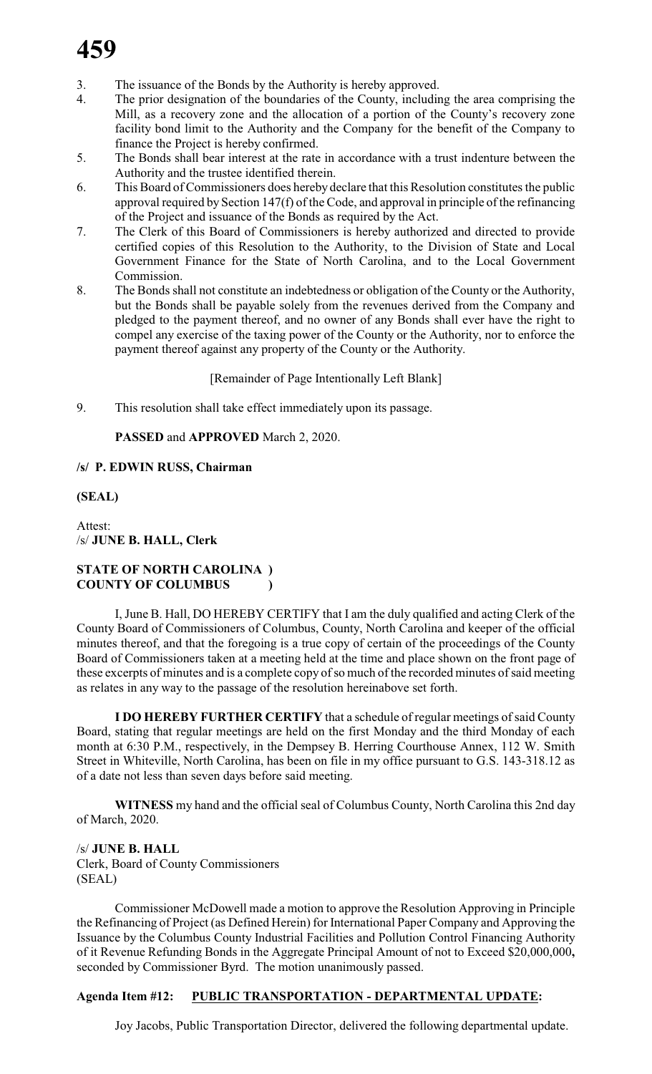- 3. The issuance of the Bonds by the Authority is hereby approved.
- 4. The prior designation of the boundaries of the County, including the area comprising the Mill, as a recovery zone and the allocation of a portion of the County's recovery zone facility bond limit to the Authority and the Company for the benefit of the Company to finance the Project is hereby confirmed.
- 5. The Bonds shall bear interest at the rate in accordance with a trust indenture between the Authority and the trustee identified therein.
- 6. This Board of Commissioners does hereby declare that this Resolution constitutes the public approval required by Section 147(f) of the Code, and approval in principle of the refinancing of the Project and issuance of the Bonds as required by the Act.
- 7. The Clerk of this Board of Commissioners is hereby authorized and directed to provide certified copies of this Resolution to the Authority, to the Division of State and Local Government Finance for the State of North Carolina, and to the Local Government Commission.
- 8. The Bonds shall not constitute an indebtedness or obligation of the County or the Authority, but the Bonds shall be payable solely from the revenues derived from the Company and pledged to the payment thereof, and no owner of any Bonds shall ever have the right to compel any exercise of the taxing power of the County or the Authority, nor to enforce the payment thereof against any property of the County or the Authority.

[Remainder of Page Intentionally Left Blank]

9. This resolution shall take effect immediately upon its passage.

# **PASSED** and **APPROVED** March 2, 2020.

# **/s/ P. EDWIN RUSS, Chairman**

# **(SEAL)**

Attest: /s/ **JUNE B. HALL, Clerk**

# **STATE OF NORTH CAROLINA ) COUNTY OF COLUMBUS )**

I, June B. Hall, DO HEREBY CERTIFY that I am the duly qualified and acting Clerk of the County Board of Commissioners of Columbus, County, North Carolina and keeper of the official minutes thereof, and that the foregoing is a true copy of certain of the proceedings of the County Board of Commissioners taken at a meeting held at the time and place shown on the front page of these excerpts of minutes and is a complete copy of so much of the recorded minutes of said meeting as relates in any way to the passage of the resolution hereinabove set forth.

**I DO HEREBY FURTHER CERTIFY** that a schedule of regular meetings of said County Board, stating that regular meetings are held on the first Monday and the third Monday of each month at 6:30 P.M., respectively, in the Dempsey B. Herring Courthouse Annex, 112 W. Smith Street in Whiteville, North Carolina, has been on file in my office pursuant to G.S. 143-318.12 as of a date not less than seven days before said meeting.

**WITNESS** my hand and the official seal of Columbus County, North Carolina this 2nd day of March, 2020.

/s/ **JUNE B. HALL** Clerk, Board of County Commissioners (SEAL)

Commissioner McDowell made a motion to approve the Resolution Approving in Principle the Refinancing of Project (as Defined Herein) for International Paper Company and Approving the Issuance by the Columbus County Industrial Facilities and Pollution Control Financing Authority of it Revenue Refunding Bonds in the Aggregate Principal Amount of not to Exceed \$20,000,000**,** seconded by Commissioner Byrd. The motion unanimously passed.

# **Agenda Item #12: PUBLIC TRANSPORTATION - DEPARTMENTAL UPDATE:**

Joy Jacobs, Public Transportation Director, delivered the following departmental update.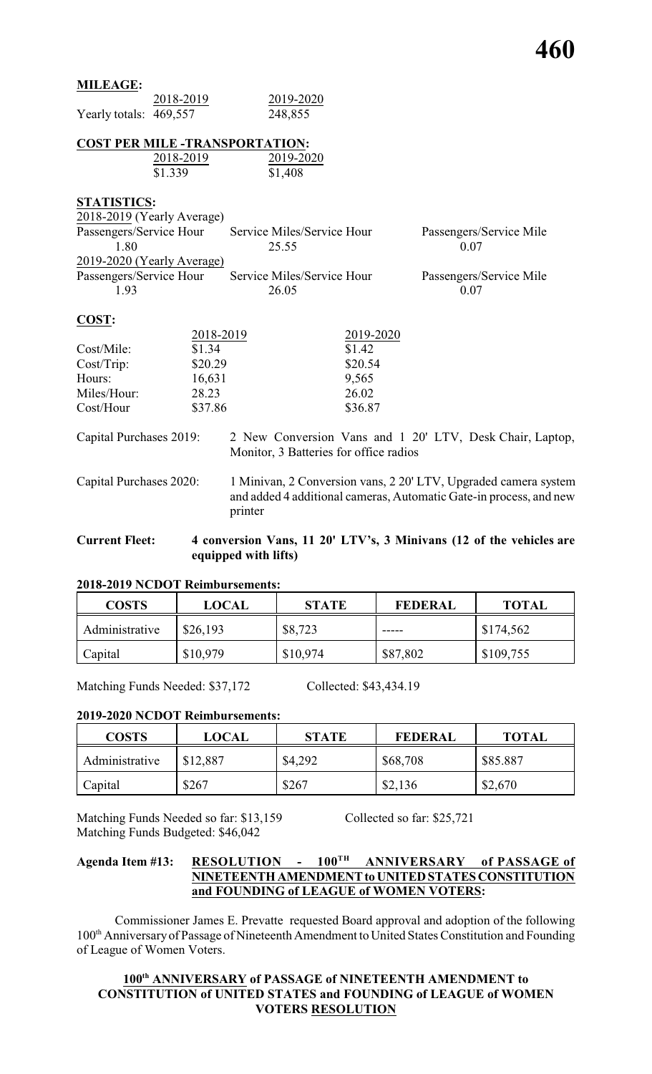# **MILEAGE:**

|                         | 2018-2019                  | 2019-2020                              |           |                                                          |
|-------------------------|----------------------------|----------------------------------------|-----------|----------------------------------------------------------|
| Yearly totals: 469,557  |                            | 248,855                                |           |                                                          |
|                         |                            | <b>COST PER MILE -TRANSPORTATION:</b>  |           |                                                          |
|                         | 2018-2019                  | 2019-2020                              |           |                                                          |
|                         | \$1.339                    | \$1,408                                |           |                                                          |
| <b>STATISTICS:</b>      |                            |                                        |           |                                                          |
|                         | 2018-2019 (Yearly Average) |                                        |           |                                                          |
|                         | Passengers/Service Hour    | Service Miles/Service Hour             |           | Passengers/Service Mile                                  |
| 1.80                    |                            | 25.55                                  |           | 0.07                                                     |
|                         | 2019-2020 (Yearly Average) |                                        |           |                                                          |
| Passengers/Service Hour |                            | Service Miles/Service Hour             |           | Passengers/Service Mile                                  |
| 1.93                    |                            | 26.05                                  |           | 0.07                                                     |
| COST:                   |                            |                                        |           |                                                          |
|                         | 2018-2019                  |                                        | 2019-2020 |                                                          |
| Cost/Mile:              | \$1.34                     |                                        | \$1.42    |                                                          |
| $Cost/Trip$ :           | \$20.29                    |                                        | \$20.54   |                                                          |
| Hours:                  | 16,631                     |                                        | 9,565     |                                                          |
| Miles/Hour:             | 28.23                      |                                        | 26.02     |                                                          |
| Cost/Hour               | \$37.86                    |                                        | \$36.87   |                                                          |
| Capital Purchases 2019: |                            |                                        |           | 2 New Conversion Vans and 1 20' LTV, Desk Chair, La      |
|                         |                            | Monitor, 3 Batteries for office radios |           |                                                          |
| Canital Purchases 2020: |                            |                                        |           | 1 Minivan 2 Conversion vans 2.20' I TV Unoraded camera s |

|               | 2018-2019 | 2019-2020 |
|---------------|-----------|-----------|
| Cost/Mile:    | \$1.34    | \$1.42    |
| $Cost/Trip$ : | \$20.29   | \$20.54   |
| Hours:        | 16,631    | 9,565     |
| Miles/Hour:   | 28.23     | 26.02     |
| Cost/Hour     | \$37.86   | \$36.87   |

Chair, Laptop,

**Current Fleet: 4 conversion Vans, 11 20' LTV's, 3 Minivans (12 of the vehicles are equipped with lifts)**

# **2018-2019 NCDOT Reimbursements:**

| <b>COSTS</b>   | <b>LOCAL</b> | <b>STATE</b> | <b>FEDERAL</b> | <b>TOTAL</b> |
|----------------|--------------|--------------|----------------|--------------|
| Administrative | \$26,193     | \$8,723      | -----          | \$174,562    |
| Capital        | \$10,979     | \$10,974     | \$87,802       | \$109,755    |

Matching Funds Needed: \$37,172 Collected: \$43,434.19

# **2019-2020 NCDOT Reimbursements:**

| <b>COSTS</b>   | <b>LOCAL</b> | <b>STATE</b> | <b>FEDERAL</b> | <b>TOTAL</b> |
|----------------|--------------|--------------|----------------|--------------|
| Administrative | \$12,887     | \$4,292      | \$68,708       | \$85.887     |
| Capital        | \$267        | \$267        | \$2,136        | \$2,670      |

Matching Funds Needed so far: \$13,159 Collected so far: \$25,721 Matching Funds Budgeted: \$46,042

# **Agenda Item #13: RESOLUTION - 100 TH ANNIVERSARY of PASSAGE of NINETEENTH AMENDMENT to UNITED STATES CONSTITUTION and FOUNDING of LEAGUE of WOMEN VOTERS:**

Commissioner James E. Prevatte requested Board approval and adoption of the following 100<sup>th</sup> Anniversary of Passage of Nineteenth Amendment to United States Constitution and Founding of League of Women Voters.

## **100th ANNIVERSARY of PASSAGE of NINETEENTH AMENDMENT to CONSTITUTION of UNITED STATES and FOUNDING of LEAGUE of WOMEN VOTERS RESOLUTION**

Capital Purchases 2020: 1 Minivan, 2 Conversion vans, 2 20' LTV, Upgraded camera system and added 4 additional cameras, Automatic Gate-in process, and new printer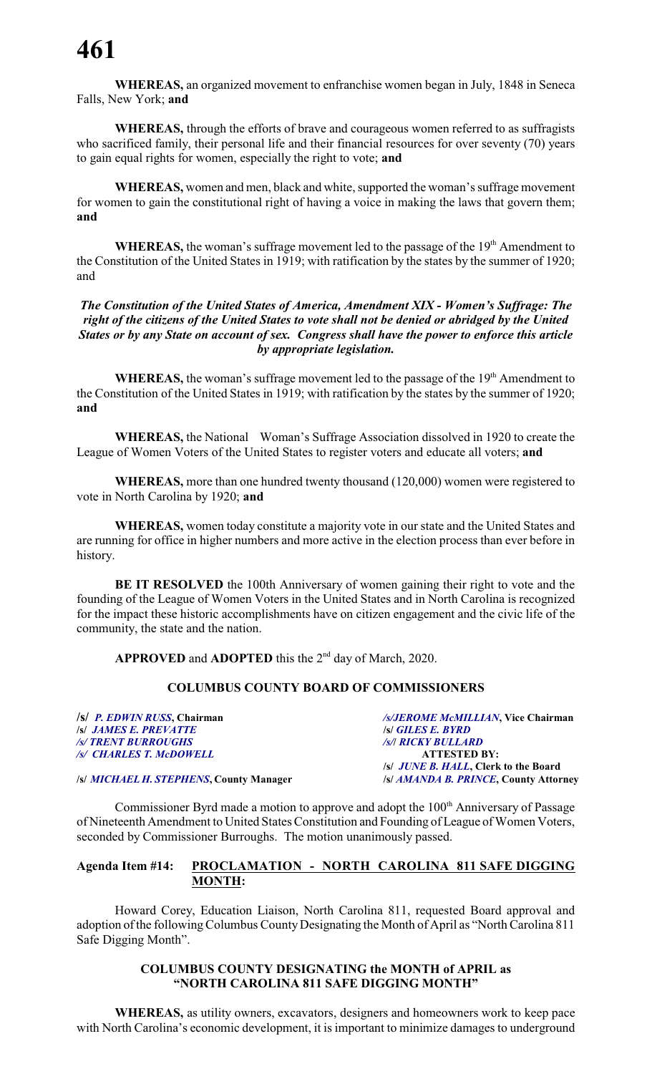**WHEREAS,** an organized movement to enfranchise women began in July, 1848 in Seneca Falls, New York; **and**

**WHEREAS,** through the efforts of brave and courageous women referred to as suffragists who sacrificed family, their personal life and their financial resources for over seventy (70) years to gain equal rights for women, especially the right to vote; **and**

**WHEREAS,** women and men, black and white, supported the woman's suffrage movement for women to gain the constitutional right of having a voice in making the laws that govern them; **and**

WHEREAS, the woman's suffrage movement led to the passage of the 19<sup>th</sup> Amendment to the Constitution of the United States in 1919; with ratification by the states by the summer of 1920; and

*The Constitution of the United States of America, Amendment XIX - Women's Suffrage: The right of the citizens of the United States to vote shall not be denied or abridged by the United States or by any State on account of sex. Congress shall have the power to enforce this article by appropriate legislation.*

WHEREAS, the woman's suffrage movement led to the passage of the 19<sup>th</sup> Amendment to the Constitution of the United States in 1919; with ratification by the states by the summer of 1920; **and**

**WHEREAS,** the National Woman's Suffrage Association dissolved in 1920 to create the League of Women Voters of the United States to register voters and educate all voters; **and**

**WHEREAS,** more than one hundred twenty thousand (120,000) women were registered to vote in North Carolina by 1920; **and**

**WHEREAS,** women today constitute a majority vote in our state and the United States and are running for office in higher numbers and more active in the election process than ever before in history.

**BE IT RESOLVED** the 100th Anniversary of women gaining their right to vote and the founding of the League of Women Voters in the United States and in North Carolina is recognized for the impact these historic accomplishments have on citizen engagement and the civic life of the community, the state and the nation.

APPROVED and ADOPTED this the 2<sup>nd</sup> day of March, 2020.

### **COLUMBUS COUNTY BOARD OF COMMISSIONERS**

**/s/** *P. EDWIN RUSS***, Chairman** */s/JEROME McMILLIAN***, Vice Chairman /s/** *JAMES E. PREVATTE* **/s/** *GILES E. BYRD /s/ TRENT BURROUGHS /s/***/** *RICKY BULLARD /s/ CHARLES T. McDOWELL* **ATTESTED BY: /s/** *JUNE B. HALL***, Clerk to the Board /s/** *MICHAEL H. STEPHENS***, County Manager /s/** *AMANDA B. PRINCE***, County Attorney**

Commissioner Byrd made a motion to approve and adopt the 100<sup>th</sup> Anniversary of Passage of Nineteenth Amendment to United States Constitution and Founding of League of Women Voters, seconded by Commissioner Burroughs. The motion unanimously passed.

### **Agenda Item #14: PROCLAMATION - NORTH CAROLINA 811 SAFE DIGGING MONTH:**

Howard Corey, Education Liaison, North Carolina 811, requested Board approval and adoption of the following Columbus County Designating the Month of April as "North Carolina 811 Safe Digging Month".

### **COLUMBUS COUNTY DESIGNATING the MONTH of APRIL as "NORTH CAROLINA 811 SAFE DIGGING MONTH"**

**WHEREAS,** as utility owners, excavators, designers and homeowners work to keep pace with North Carolina's economic development, it is important to minimize damages to underground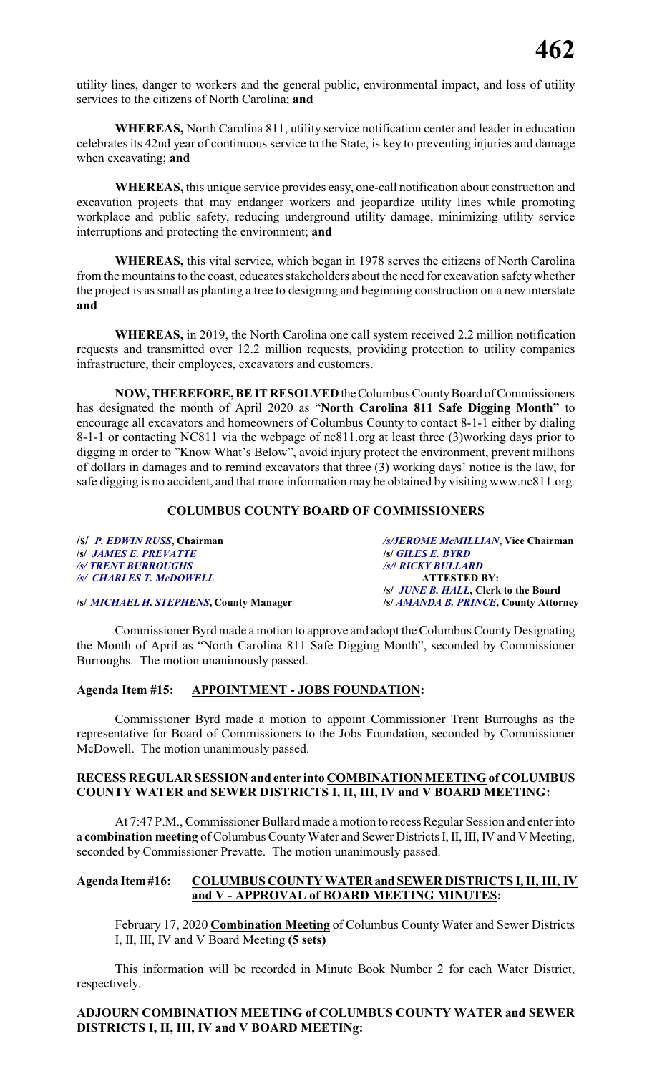utility lines, danger to workers and the general public, environmental impact, and loss of utility services to the citizens of North Carolina; **and**

**WHEREAS,** North Carolina 811, utility service notification center and leader in education celebrates its 42nd year of continuous service to the State, is key to preventing injuries and damage when excavating; **and**

**WHEREAS,** this unique service provides easy, one-call notification about construction and excavation projects that may endanger workers and jeopardize utility lines while promoting workplace and public safety, reducing underground utility damage, minimizing utility service interruptions and protecting the environment; **and**

**WHEREAS,** this vital service, which began in 1978 serves the citizens of North Carolina from the mountains to the coast, educates stakeholders about the need for excavation safety whether the project is as small as planting a tree to designing and beginning construction on a new interstate **and**

**WHEREAS,** in 2019, the North Carolina one call system received 2.2 million notification requests and transmitted over 12.2 million requests, providing protection to utility companies infrastructure, their employees, excavators and customers.

**NOW, THEREFORE, BE IT RESOLVED** the Columbus County Board of Commissioners has designated the month of April 2020 as "**North Carolina 811 Safe Digging Month"** to encourage all excavators and homeowners of Columbus County to contact 8-1-1 either by dialing 8-1-1 or contacting NC811 via the webpage of nc811.org at least three (3)working days prior to digging in order to "Know What's Below", avoid injury protect the environment, prevent millions of dollars in damages and to remind excavators that three (3) working days' notice is the law, for safe digging is no accident, and that more information may be obtained by visiting www.nc811.org.

# **COLUMBUS COUNTY BOARD OF COMMISSIONERS**

| /s/ P. EDWIN RUSS, Chairman             | /s/JEROME McMILLIAN, Vice Chairman           |
|-----------------------------------------|----------------------------------------------|
| <b>S JAMES E. PREVATTE</b>              | <b>S GILES E. BYRD</b>                       |
| <b>/s/ TRENT BURROUGHS</b>              | <b>/s/  RICKY BULLARD</b>                    |
| /s/ CHARLES T. McDOWELL                 | <b>ATTESTED BY:</b>                          |
|                                         | /s/ <i>JUNE B. HALL</i> , Clerk to the Board |
| /s/ MICHAEL H. STEPHENS, County Manager | /s/ AMANDA B. PRINCE, County Attorney        |

Commissioner Byrd made a motion to approve and adopt the Columbus County Designating the Month of April as "North Carolina 811 Safe Digging Month", seconded by Commissioner Burroughs. The motion unanimously passed.

### **Agenda Item #15: APPOINTMENT - JOBS FOUNDATION:**

Commissioner Byrd made a motion to appoint Commissioner Trent Burroughs as the representative for Board of Commissioners to the Jobs Foundation, seconded by Commissioner McDowell. The motion unanimously passed.

### **RECESS REGULAR SESSION and enter into COMBINATION MEETING of COLUMBUS COUNTY WATER and SEWER DISTRICTS I, II, III, IV and V BOARD MEETING:**

At 7:47 P.M., Commissioner Bullard made a motion to recess Regular Session and enter into a **combination meeting** of Columbus County Water and Sewer Districts I, II, III, IV and V Meeting, seconded by Commissioner Prevatte. The motion unanimously passed.

### **Agenda Item#16: COLUMBUS COUNTY WATERand SEWER DISTRICTS I, II, III, IV and V - APPROVAL of BOARD MEETING MINUTES:**

February 17, 2020 **Combination Meeting** of Columbus County Water and Sewer Districts I, II, III, IV and V Board Meeting **(5 sets)**

This information will be recorded in Minute Book Number 2 for each Water District, respectively.

# **ADJOURN COMBINATION MEETING of COLUMBUS COUNTY WATER and SEWER DISTRICTS I, II, III, IV and V BOARD MEETINg:**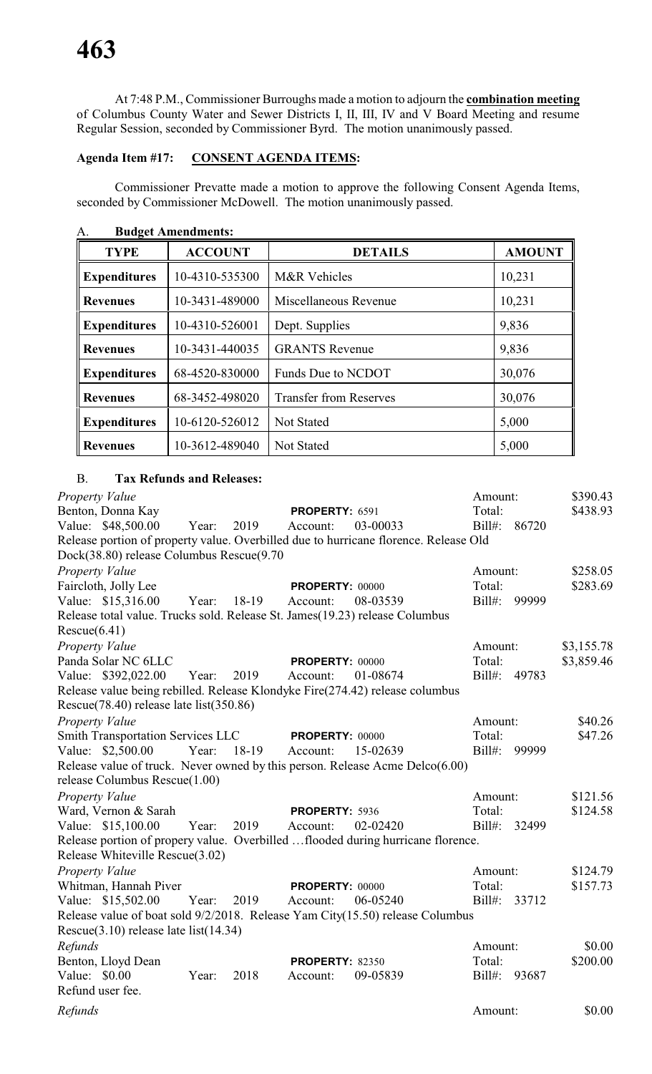At 7:48 P.M., Commissioner Burroughs made a motion to adjourn the **combination meeting** of Columbus County Water and Sewer Districts I, II, III, IV and V Board Meeting and resume Regular Session, seconded by Commissioner Byrd. The motion unanimously passed.

# **Agenda Item #17: CONSENT AGENDA ITEMS:**

Commissioner Prevatte made a motion to approve the following Consent Agenda Items, seconded by Commissioner McDowell. The motion unanimously passed.

|                     | Dauget Tementaments. |                               |               |
|---------------------|----------------------|-------------------------------|---------------|
| <b>TYPE</b>         | <b>ACCOUNT</b>       | <b>DETAILS</b>                | <b>AMOUNT</b> |
| <b>Expenditures</b> | 10-4310-535300       | <b>M&amp;R</b> Vehicles       | 10,231        |
| <b>Revenues</b>     | 10-3431-489000       | Miscellaneous Revenue         | 10,231        |
| <b>Expenditures</b> | 10-4310-526001       | Dept. Supplies                | 9,836         |
| <b>Revenues</b>     | 10-3431-440035       | <b>GRANTS Revenue</b>         | 9,836         |
| <b>Expenditures</b> | 68-4520-830000       | Funds Due to NCDOT            | 30,076        |
| <b>Revenues</b>     | 68-3452-498020       | <b>Transfer from Reserves</b> | 30,076        |
| <b>Expenditures</b> | 10-6120-526012       | Not Stated                    | 5,000         |
| <b>Revenues</b>     | 10-3612-489040       | Not Stated                    | 5,000         |

A. **Budget Amendments:**

# B. **Tax Refunds and Releases:**

| Property Value                                                                       |       |       |                        |          | Amount:   |       | \$390.43   |
|--------------------------------------------------------------------------------------|-------|-------|------------------------|----------|-----------|-------|------------|
| Benton, Donna Kay                                                                    |       |       | PROPERTY: 6591         |          | Total:    |       | \$438.93   |
| Value: \$48,500.00                                                                   | Year: | 2019  | Account:               | 03-00033 | $Bill#$ : | 86720 |            |
| Release portion of property value. Overbilled due to hurricane florence. Release Old |       |       |                        |          |           |       |            |
| Dock(38.80) release Columbus Rescue(9.70                                             |       |       |                        |          |           |       |            |
| Property Value                                                                       |       |       |                        |          | Amount:   |       | \$258.05   |
| Faircloth, Jolly Lee                                                                 |       |       | PROPERTY: 00000        |          | Total:    |       | \$283.69   |
| Value: \$15,316.00                                                                   | Year: | 18-19 | Account:               | 08-03539 | $Bill#$ : | 99999 |            |
| Release total value. Trucks sold. Release St. James(19.23) release Columbus          |       |       |                        |          |           |       |            |
| Rescue(6.41)                                                                         |       |       |                        |          |           |       |            |
| Property Value                                                                       |       |       |                        |          | Amount:   |       | \$3,155.78 |
| Panda Solar NC 6LLC                                                                  |       |       | <b>PROPERTY: 00000</b> |          | Total:    |       | \$3,859.46 |
| Value: \$392,022.00                                                                  | Year: | 2019  | Account:               | 01-08674 | Bill#:    | 49783 |            |
| Release value being rebilled. Release Klondyke Fire(274.42) release columbus         |       |       |                        |          |           |       |            |
| Rescue(78.40) release late list(350.86)                                              |       |       |                        |          |           |       |            |
| Property Value                                                                       |       |       |                        |          | Amount:   |       | \$40.26    |
| <b>Smith Transportation Services LLC</b>                                             |       |       | <b>PROPERTY: 00000</b> |          | Total:    |       | \$47.26    |
| Value: \$2,500.00                                                                    | Year: | 18-19 | Account:               | 15-02639 | $Bill#$ : | 99999 |            |
| Release value of truck. Never owned by this person. Release Acme Delco(6.00)         |       |       |                        |          |           |       |            |
| release Columbus Rescue(1.00)                                                        |       |       |                        |          |           |       |            |
| Property Value                                                                       |       |       |                        |          | Amount:   |       | \$121.56   |
| Ward, Vernon & Sarah                                                                 |       |       | PROPERTY: 5936         |          | Total:    |       | \$124.58   |
| Value: \$15,100.00                                                                   | Year: | 2019  | Account:               | 02-02420 | $Bill#$ : | 32499 |            |
| Release portion of propery value. Overbilled flooded during hurricane florence.      |       |       |                        |          |           |       |            |
| Release Whiteville Rescue(3.02)                                                      |       |       |                        |          |           |       |            |
| Property Value                                                                       |       |       |                        |          | Amount:   |       | \$124.79   |
| Whitman, Hannah Piver                                                                |       |       | <b>PROPERTY: 00000</b> |          | Total:    |       | \$157.73   |
| Value: \$15,502.00                                                                   | Year: | 2019  | Account:               | 06-05240 | $Bill#$ : | 33712 |            |
| Release value of boat sold 9/2/2018. Release Yam City(15.50) release Columbus        |       |       |                        |          |           |       |            |
| Rescue $(3.10)$ release late list $(14.34)$                                          |       |       |                        |          |           |       |            |
| Refunds                                                                              |       |       |                        |          | Amount:   |       | \$0.00     |
| Benton, Lloyd Dean                                                                   |       |       | <b>PROPERTY: 82350</b> |          | Total:    |       | \$200.00   |
| Value: \$0.00                                                                        | Year: | 2018  | Account:               | 09-05839 | $Bill#$ : | 93687 |            |
| Refund user fee.                                                                     |       |       |                        |          |           |       |            |
| Refunds                                                                              |       |       |                        |          | Amount:   |       | \$0.00     |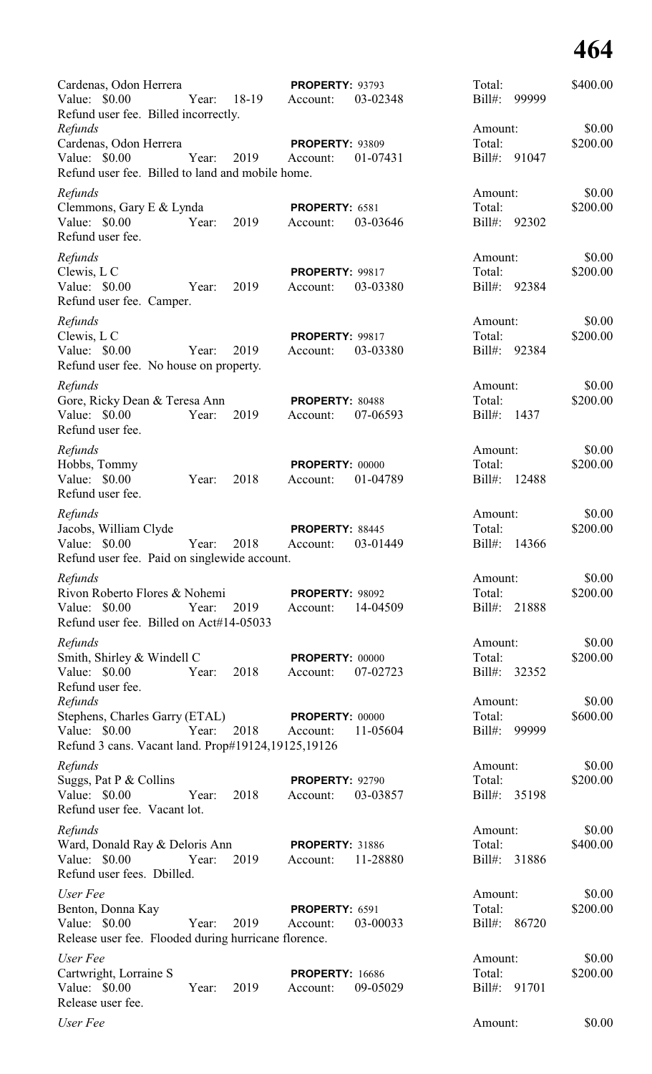| Cardenas, Odon Herrera<br>Value: \$0.00                               | Year: | 18-19 | <b>PROPERTY: 93793</b><br>Account: | 03-02348 | Total:<br>Bill#: | 99999 | \$400.00 |
|-----------------------------------------------------------------------|-------|-------|------------------------------------|----------|------------------|-------|----------|
| Refund user fee. Billed incorrectly.<br>Refunds                       |       |       |                                    |          | Amount:          |       | \$0.00   |
| Cardenas, Odon Herrera                                                |       |       | <b>PROPERTY: 93809</b>             |          | Total:           |       | \$200.00 |
| Value: \$0.00<br>Refund user fee. Billed to land and mobile home.     | Year: | 2019  | Account:                           | 01-07431 | $Bill#$ :        | 91047 |          |
| Refunds                                                               |       |       |                                    |          | Amount:          |       | \$0.00   |
| Clemmons, Gary E & Lynda                                              |       |       | PROPERTY: 6581                     |          | Total:           |       | \$200.00 |
| Value: \$0.00<br>Refund user fee.                                     | Year: | 2019  | Account:                           | 03-03646 | $Bill#$ :        | 92302 |          |
| Refunds                                                               |       |       |                                    |          | Amount:          |       | \$0.00   |
| Clewis, L C                                                           |       |       | PROPERTY: 99817                    |          | Total:           |       | \$200.00 |
| Value: \$0.00<br>Refund user fee. Camper.                             | Year: | 2019  | Account:                           | 03-03380 | $Bill#$ :        | 92384 |          |
| Refunds                                                               |       |       |                                    |          | Amount:          |       | \$0.00   |
| Clewis, L C                                                           |       |       | PROPERTY: 99817                    |          | Total:           |       | \$200.00 |
| Value: \$0.00<br>Refund user fee. No house on property.               | Year: | 2019  | Account:                           | 03-03380 | Bill#:           | 92384 |          |
| Refunds                                                               |       |       |                                    |          | Amount:          |       | \$0.00   |
| Gore, Ricky Dean & Teresa Ann                                         |       |       | PROPERTY: 80488                    |          | Total:           |       | \$200.00 |
| Value: \$0.00<br>Refund user fee.                                     | Year: | 2019  | Account:                           | 07-06593 | $Bill#$ :        | 1437  |          |
| Refunds                                                               |       |       |                                    |          | Amount:          |       | \$0.00   |
| Hobbs, Tommy                                                          |       |       | PROPERTY: 00000                    |          | Total:           |       | \$200.00 |
| Value: \$0.00<br>Refund user fee.                                     | Year: | 2018  | Account:                           | 01-04789 | $Bill#$ :        | 12488 |          |
| Refunds                                                               |       |       |                                    |          | Amount:          |       | \$0.00   |
| Jacobs, William Clyde                                                 |       |       | PROPERTY: 88445                    |          | Total:           |       | \$200.00 |
| Value: \$0.00<br>Refund user fee. Paid on singlewide account.         | Year: | 2018  | Account:                           | 03-01449 | Bill#:           | 14366 |          |
| Refunds                                                               |       |       |                                    |          | Amount:          |       | \$0.00   |
| Rivon Roberto Flores & Nohemi                                         |       |       | PROPERTY: 98092                    |          | Total:           |       | \$200.00 |
| Value: \$0.00<br>Refund user fee. Billed on Act#14-05033              | Year: | 2019  | Account:                           | 14-04509 | Bill#:           | 21888 |          |
| Refunds                                                               |       |       |                                    |          | Amount:          |       | \$0.00   |
| Smith, Shirley & Windell C                                            |       |       | <b>PROPERTY: 00000</b>             |          | Total:           |       | \$200.00 |
| Value: \$0.00<br>Refund user fee.                                     | Year: | 2018  | Account:                           | 07-02723 | Bill#:           | 32352 |          |
| Refunds                                                               |       |       |                                    |          | Amount:          |       | \$0.00   |
| Stephens, Charles Garry (ETAL)                                        |       |       | PROPERTY: 00000                    |          | Total:           |       | \$600.00 |
| Value: \$0.00<br>Refund 3 cans. Vacant land. Prop#19124,19125,19126   | Year: | 2018  | Account:                           | 11-05604 | Bill#:           | 99999 |          |
| Refunds                                                               |       |       |                                    |          | Amount:          |       | \$0.00   |
| Suggs, Pat P & Collins                                                |       |       | <b>PROPERTY: 92790</b>             |          | Total:           |       | \$200.00 |
| Value: \$0.00<br>Refund user fee. Vacant lot.                         | Year: | 2018  | Account:                           | 03-03857 | Bill#:           | 35198 |          |
| Refunds                                                               |       |       |                                    |          | Amount:          |       | \$0.00   |
| Ward, Donald Ray & Deloris Ann                                        |       |       | <b>PROPERTY: 31886</b>             |          | Total:           |       | \$400.00 |
| Value: \$0.00<br>Refund user fees. Dbilled.                           | Year: | 2019  | Account:                           | 11-28880 | $Bill#$ :        | 31886 |          |
| User Fee                                                              |       |       |                                    |          | Amount:          |       | \$0.00   |
| Benton, Donna Kay                                                     |       |       | PROPERTY: 6591                     |          | Total:           |       | \$200.00 |
| Value: \$0.00<br>Release user fee. Flooded during hurricane florence. | Year: | 2019  | Account:                           | 03-00033 | Bill#:           | 86720 |          |
| User Fee                                                              |       |       |                                    |          | Amount:          |       | \$0.00   |
| Cartwright, Lorraine S                                                |       |       | <b>PROPERTY: 16686</b>             |          | Total:           |       | \$200.00 |
| Value: \$0.00                                                         | Year: | 2019  | Account:                           | 09-05029 | Bill#:           | 91701 |          |
| Release user fee.                                                     |       |       |                                    |          |                  |       |          |
| User Fee                                                              |       |       |                                    |          | Amount:          |       | \$0.00   |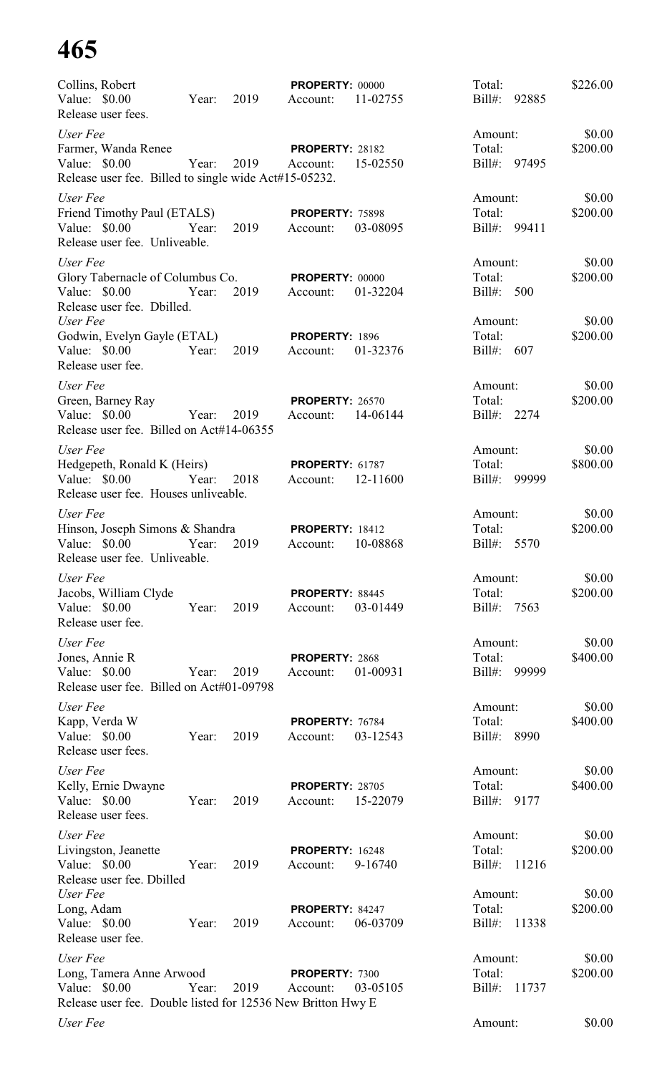| Collins, Robert                                                        |       |      | <b>PROPERTY: 00000</b> |          | Total:             | \$226.00 |
|------------------------------------------------------------------------|-------|------|------------------------|----------|--------------------|----------|
| Value: \$0.00<br>Release user fees.                                    | Year: | 2019 | Account:               | 11-02755 | Bill#:<br>92885    |          |
| User Fee                                                               |       |      |                        |          | Amount:            | \$0.00   |
| Farmer, Wanda Renee                                                    |       |      | <b>PROPERTY: 28182</b> |          | Total:             | \$200.00 |
| Value: \$0.00<br>Release user fee. Billed to single wide Act#15-05232. | Year: | 2019 | Account:               | 15-02550 | Bill#: 97495       |          |
| User Fee                                                               |       |      |                        |          | Amount:            | \$0.00   |
| Friend Timothy Paul (ETALS)                                            |       |      | <b>PROPERTY: 75898</b> |          | Total:             | \$200.00 |
| Value: \$0.00<br>Release user fee. Unliveable.                         | Year: | 2019 | Account:               | 03-08095 | Bill#: 99411       |          |
| User Fee                                                               |       |      |                        |          | Amount:            | \$0.00   |
| Glory Tabernacle of Columbus Co. PROPERTY: 00000                       |       |      |                        |          | Total:             | \$200.00 |
| Value: \$0.00<br>Release user fee. Dbilled.                            | Year: | 2019 | Account:               | 01-32204 | Bill#: 500         |          |
| User Fee                                                               |       |      |                        |          | Amount:            | \$0.00   |
| Godwin, Evelyn Gayle (ETAL)                                            |       |      | PROPERTY: 1896         |          | Total:             | \$200.00 |
| Value: \$0.00<br>Release user fee.                                     | Year: | 2019 | Account:               | 01-32376 | Bill#: $607$       |          |
| User Fee                                                               |       |      |                        |          | Amount:            | \$0.00   |
| Green, Barney Ray                                                      |       |      | <b>PROPERTY: 26570</b> |          | Total:             | \$200.00 |
| Value: \$0.00<br>Release user fee. Billed on Act#14-06355              | Year: | 2019 | Account:               | 14-06144 | Bill#: 2274        |          |
| User Fee                                                               |       |      |                        |          | Amount:            | \$0.00   |
| Hedgepeth, Ronald K (Heirs)                                            |       |      | <b>PROPERTY: 61787</b> |          | Total:             | \$800.00 |
| Value: \$0.00<br>Release user fee. Houses unliveable.                  | Year: | 2018 | Account:               | 12-11600 | Bill#:<br>99999    |          |
| User Fee                                                               |       |      |                        |          | Amount:            | \$0.00   |
| Hinson, Joseph Simons & Shandra                                        |       |      | <b>PROPERTY: 18412</b> |          | Total:             | \$200.00 |
| Value: \$0.00<br>Release user fee. Unliveable.                         | Year: | 2019 | Account:               | 10-08868 | $Bill#$ :<br>5570  |          |
| User Fee                                                               |       |      |                        |          | Amount:            | \$0.00   |
| Jacobs, William Clyde                                                  |       |      | PROPERTY: 88445        |          | Total:             | \$200.00 |
| Value: \$0.00<br>Release user fee.                                     | Year: | 2019 | Account:               | 03-01449 | $Bill#$ :<br>7563  |          |
| User Fee                                                               |       |      |                        |          | Amount:            | \$0.00   |
| Jones, Annie R                                                         |       |      | PROPERTY: 2868         |          | Total:             | \$400.00 |
| Value: \$0.00<br>Release user fee. Billed on Act#01-09798              | Year: | 2019 | Account:               | 01-00931 | Bill#:<br>99999    |          |
| User Fee                                                               |       |      |                        |          | Amount:            | \$0.00   |
| Kapp, Verda W                                                          |       |      | PROPERTY: 76784        |          | Total:             | \$400.00 |
| Value: $$0.00$<br>Release user fees.                                   | Year: | 2019 | Account:               | 03-12543 | $Bill#$ :<br>8990  |          |
| User Fee                                                               |       |      |                        |          | Amount:            | \$0.00   |
| Kelly, Ernie Dwayne                                                    |       |      | <b>PROPERTY: 28705</b> |          | Total:             | \$400.00 |
| Value: \$0.00<br>Release user fees.                                    | Year: | 2019 | Account:               | 15-22079 | $Bill#$ :<br>9177  |          |
| User Fee                                                               |       |      |                        |          | Amount:            | \$0.00   |
| Livingston, Jeanette                                                   |       |      | <b>PROPERTY: 16248</b> |          | Total:             | \$200.00 |
| Value: \$0.00<br>Release user fee. Dbilled                             | Year: | 2019 | Account:               | 9-16740  | $Bill#$ :<br>11216 |          |
| User Fee                                                               |       |      |                        |          | Amount:            | \$0.00   |
| Long, Adam                                                             |       |      | PROPERTY: 84247        |          | Total:             | \$200.00 |
| Value: \$0.00<br>Release user fee.                                     | Year: | 2019 | Account:               | 06-03709 | $Bill#$ :<br>11338 |          |
| User Fee                                                               |       |      |                        |          | Amount:            | \$0.00   |
| Long, Tamera Anne Arwood                                               |       |      | PROPERTY: 7300         |          | Total:             | \$200.00 |
| Value: \$0.00                                                          | Year: | 2019 | Account:               | 03-05105 | $Bill#$ :<br>11737 |          |
| Release user fee. Double listed for 12536 New Britton Hwy E            |       |      |                        |          |                    |          |
| User Fee                                                               |       |      |                        |          | Amount:            | \$0.00   |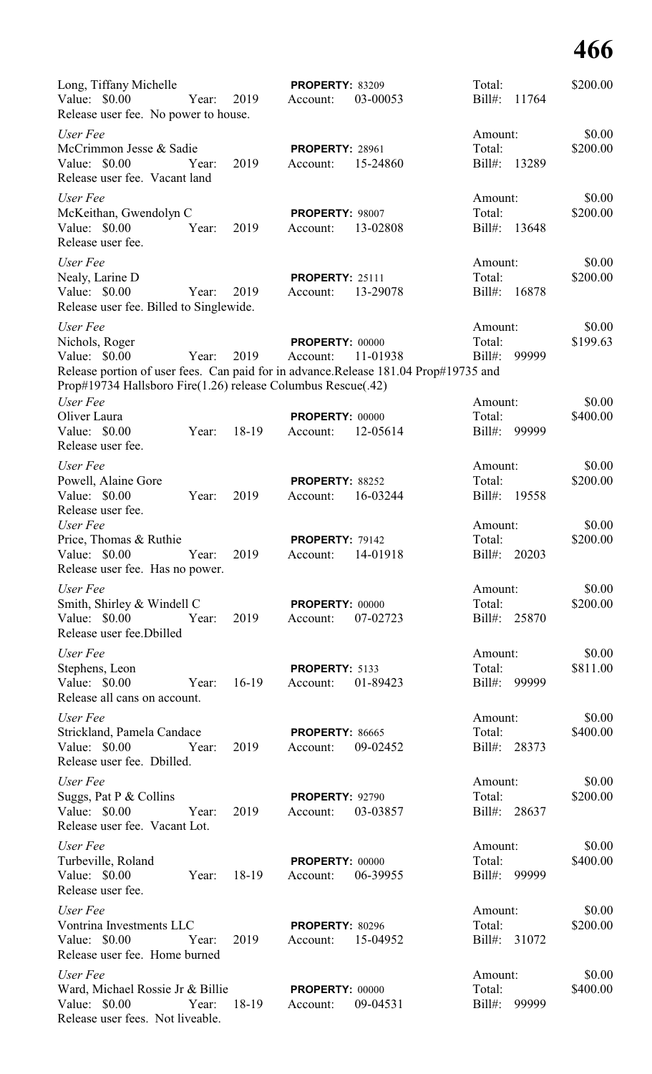| Long, Tiffany Michelle<br>Value: $$0.00$<br>Year:<br>Release user fee. No power to house.                                                                                                                    | 2019    | <b>PROPERTY: 83209</b><br>Account: | 03-00053 | Total:<br>$Bill#$ :<br>11764            | \$200.00           |
|--------------------------------------------------------------------------------------------------------------------------------------------------------------------------------------------------------------|---------|------------------------------------|----------|-----------------------------------------|--------------------|
| User Fee<br>McCrimmon Jesse & Sadie<br>Value: \$0.00<br>Year:<br>Release user fee. Vacant land                                                                                                               | 2019    | <b>PROPERTY: 28961</b><br>Account: | 15-24860 | Amount:<br>Total:<br>$Bill#$ :<br>13289 | \$0.00<br>\$200.00 |
| User Fee<br>McKeithan, Gwendolyn C<br>Value: \$0.00<br>Year:<br>Release user fee.                                                                                                                            | 2019    | PROPERTY: 98007<br>Account:        | 13-02808 | Amount:<br>Total:<br>$Bill#$ :<br>13648 | \$0.00<br>\$200.00 |
| User Fee<br>Nealy, Larine D<br>Value: \$0.00<br>Year:<br>Release user fee. Billed to Singlewide.                                                                                                             | 2019    | <b>PROPERTY: 25111</b><br>Account: | 13-29078 | Amount:<br>Total:<br>$Bill#$ :<br>16878 | \$0.00<br>\$200.00 |
| User Fee<br>Nichols, Roger<br>Value: $$0.00$<br>Year:<br>Release portion of user fees. Can paid for in advance.Release 181.04 Prop#19735 and<br>Prop#19734 Hallsboro Fire(1.26) release Columbus Rescue(.42) | 2019    | <b>PROPERTY: 00000</b><br>Account: | 11-01938 | Amount:<br>Total:<br>99999<br>$Bill#$ : | \$0.00<br>\$199.63 |
| User Fee<br>Oliver Laura<br>Value: \$0.00<br>Year:<br>Release user fee.                                                                                                                                      | 18-19   | <b>PROPERTY: 00000</b><br>Account: | 12-05614 | Amount:<br>Total:<br>$Bill#$ :<br>99999 | \$0.00<br>\$400.00 |
| User Fee<br>Powell, Alaine Gore<br>Value: \$0.00<br>Year:<br>Release user fee.                                                                                                                               | 2019    | PROPERTY: 88252<br>Account:        | 16-03244 | Amount:<br>Total:<br>$Bill#$ :<br>19558 | \$0.00<br>\$200.00 |
| User Fee<br>Price, Thomas & Ruthie<br>Value: \$0.00<br>Year:<br>Release user fee. Has no power.                                                                                                              | 2019    | <b>PROPERTY: 79142</b><br>Account: | 14-01918 | Amount:<br>Total:<br>Bill#: 20203       | \$0.00<br>\$200.00 |
| User Fee<br>Smith, Shirley & Windell C<br>Value: \$0.00<br>Year:<br>Release user fee.Dbilled                                                                                                                 | 2019    | <b>PROPERTY: 00000</b><br>Account: | 07-02723 | Amount:<br>Total:<br>Bill#:<br>25870    | \$0.00<br>\$200.00 |
| User Fee<br>Stephens, Leon<br>Value: \$0.00<br>Year:<br>Release all cans on account.                                                                                                                         | $16-19$ | PROPERTY: 5133<br>Account:         | 01-89423 | Amount:<br>Total:<br>Bill#:<br>99999    | \$0.00<br>\$811.00 |
| User Fee<br>Strickland, Pamela Candace<br>Value: \$0.00<br>Year:<br>Release user fee. Dbilled.                                                                                                               | 2019    | <b>PROPERTY: 86665</b><br>Account: | 09-02452 | Amount:<br>Total:<br>Bill#:<br>28373    | \$0.00<br>\$400.00 |
| User Fee<br>Suggs, Pat P & Collins<br>Value: \$0.00<br>Year:<br>Release user fee. Vacant Lot.                                                                                                                | 2019    | <b>PROPERTY: 92790</b><br>Account: | 03-03857 | Amount:<br>Total:<br>Bill#:<br>28637    | \$0.00<br>\$200.00 |
| User Fee<br>Turbeville, Roland<br>Value: \$0.00<br>Year:<br>Release user fee.                                                                                                                                | 18-19   | <b>PROPERTY: 00000</b><br>Account: | 06-39955 | Amount:<br>Total:<br>Bill#:<br>99999    | \$0.00<br>\$400.00 |
| User Fee<br>Vontrina Investments LLC<br>Value: \$0.00<br>Year:<br>Release user fee. Home burned                                                                                                              | 2019    | <b>PROPERTY: 80296</b><br>Account: | 15-04952 | Amount:<br>Total:<br>Bill#: 31072       | \$0.00<br>\$200.00 |
| User Fee<br>Ward, Michael Rossie Jr & Billie<br>Value: \$0.00<br>Year:<br>Release user fees. Not liveable.                                                                                                   | 18-19   | PROPERTY: 00000<br>Account:        | 09-04531 | Amount:<br>Total:<br>$Bill#$ :<br>99999 | \$0.00<br>\$400.00 |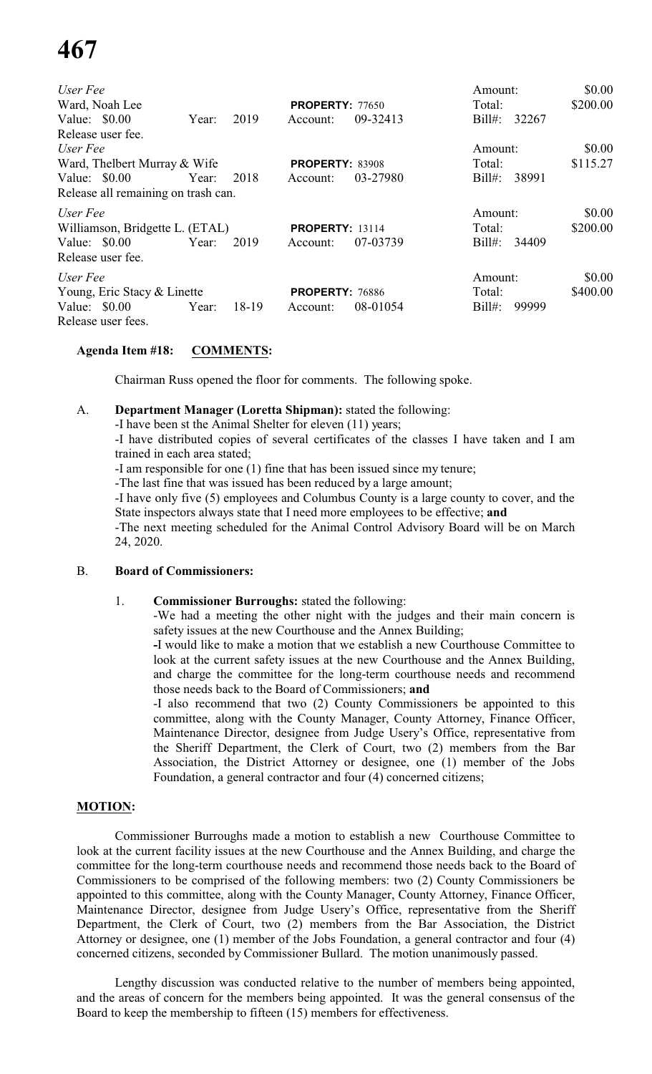| User Fee                            |       |         |                        |          | Amount:            | \$0.00   |
|-------------------------------------|-------|---------|------------------------|----------|--------------------|----------|
| Ward, Noah Lee                      |       |         | <b>PROPERTY: 77650</b> |          | Total:             | \$200.00 |
| Value: $$0.00$                      | Year: | 2019    | Account:               | 09-32413 | $Bill#$ :<br>32267 |          |
| Release user fee.                   |       |         |                        |          |                    |          |
| User Fee                            |       |         |                        |          | Amount:            | \$0.00   |
| Ward, Thelbert Murray & Wife        |       |         | PROPERTY: 83908        |          | Total:             | \$115.27 |
| Value: $$0.00$                      | Year: | 2018    | Account:               | 03-27980 | $Bill#$ :<br>38991 |          |
| Release all remaining on trash can. |       |         |                        |          |                    |          |
| User Fee                            |       |         |                        |          | Amount:            | \$0.00   |
| Williamson, Bridgette L. (ETAL)     |       |         | <b>PROPERTY: 13114</b> |          | Total:             | \$200.00 |
| Value: $$0.00$                      | Year: | 2019    | Account:               | 07-03739 | $Bill#$ :<br>34409 |          |
| Release user fee.                   |       |         |                        |          |                    |          |
| User Fee                            |       |         |                        |          | Amount:            | \$0.00   |
| Young, Eric Stacy & Linette         |       |         | <b>PROPERTY: 76886</b> |          | Total:             | \$400.00 |
| Value: $$0.00$                      | Year: | $18-19$ | Account:               | 08-01054 | $Bill#$ :<br>99999 |          |
| Release user fees.                  |       |         |                        |          |                    |          |

# **Agenda Item #18: COMMENTS:**

Chairman Russ opened the floor for comments. The following spoke.

### A. **Department Manager (Loretta Shipman):** stated the following:

-I have been st the Animal Shelter for eleven (11) years;

-I have distributed copies of several certificates of the classes I have taken and I am trained in each area stated;

-I am responsible for one (1) fine that has been issued since my tenure;

-The last fine that was issued has been reduced by a large amount;

-I have only five (5) employees and Columbus County is a large county to cover, and the State inspectors always state that I need more employees to be effective; **and**

-The next meeting scheduled for the Animal Control Advisory Board will be on March 24, 2020.

### B. **Board of Commissioners:**

### 1. **Commissioner Burroughs:** stated the following:

-We had a meeting the other night with the judges and their main concern is safety issues at the new Courthouse and the Annex Building;

**-**I would like to make a motion that we establish a new Courthouse Committee to look at the current safety issues at the new Courthouse and the Annex Building, and charge the committee for the long-term courthouse needs and recommend those needs back to the Board of Commissioners; **and**

-I also recommend that two (2) County Commissioners be appointed to this committee, along with the County Manager, County Attorney, Finance Officer, Maintenance Director, designee from Judge Usery's Office, representative from the Sheriff Department, the Clerk of Court, two (2) members from the Bar Association, the District Attorney or designee, one (1) member of the Jobs Foundation, a general contractor and four (4) concerned citizens;

### **MOTION:**

Commissioner Burroughs made a motion to establish a new Courthouse Committee to look at the current facility issues at the new Courthouse and the Annex Building, and charge the committee for the long-term courthouse needs and recommend those needs back to the Board of Commissioners to be comprised of the following members: two (2) County Commissioners be appointed to this committee, along with the County Manager, County Attorney, Finance Officer, Maintenance Director, designee from Judge Usery's Office, representative from the Sheriff Department, the Clerk of Court, two (2) members from the Bar Association, the District Attorney or designee, one (1) member of the Jobs Foundation, a general contractor and four (4) concerned citizens, seconded by Commissioner Bullard. The motion unanimously passed.

Lengthy discussion was conducted relative to the number of members being appointed, and the areas of concern for the members being appointed. It was the general consensus of the Board to keep the membership to fifteen (15) members for effectiveness.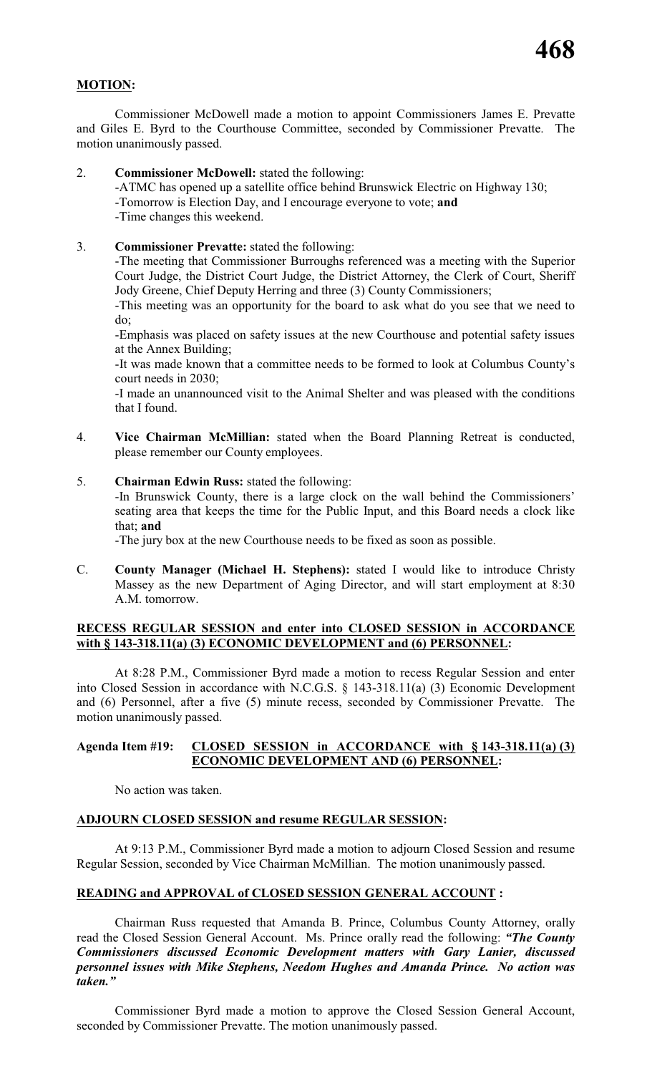# **MOTION:**

Commissioner McDowell made a motion to appoint Commissioners James E. Prevatte and Giles E. Byrd to the Courthouse Committee, seconded by Commissioner Prevatte. The motion unanimously passed.

2. **Commissioner McDowell:** stated the following:

-ATMC has opened up a satellite office behind Brunswick Electric on Highway 130; -Tomorrow is Election Day, and I encourage everyone to vote; **and** -Time changes this weekend.

3. **Commissioner Prevatte:** stated the following:

-The meeting that Commissioner Burroughs referenced was a meeting with the Superior Court Judge, the District Court Judge, the District Attorney, the Clerk of Court, Sheriff Jody Greene, Chief Deputy Herring and three (3) County Commissioners;

-This meeting was an opportunity for the board to ask what do you see that we need to do;

-Emphasis was placed on safety issues at the new Courthouse and potential safety issues at the Annex Building;

-It was made known that a committee needs to be formed to look at Columbus County's court needs in 2030;

-I made an unannounced visit to the Animal Shelter and was pleased with the conditions that I found.

- 4. **Vice Chairman McMillian:** stated when the Board Planning Retreat is conducted, please remember our County employees.
- 5. **Chairman Edwin Russ:** stated the following:

-In Brunswick County, there is a large clock on the wall behind the Commissioners' seating area that keeps the time for the Public Input, and this Board needs a clock like that; **and**

-The jury box at the new Courthouse needs to be fixed as soon as possible.

C. **County Manager (Michael H. Stephens):** stated I would like to introduce Christy Massey as the new Department of Aging Director, and will start employment at 8:30 A.M. tomorrow.

# **RECESS REGULAR SESSION and enter into CLOSED SESSION in ACCORDANCE with § 143-318.11(a) (3) ECONOMIC DEVELOPMENT and (6) PERSONNEL:**

At 8:28 P.M., Commissioner Byrd made a motion to recess Regular Session and enter into Closed Session in accordance with N.C.G.S. § 143-318.11(a) (3) Economic Development and (6) Personnel, after a five (5) minute recess, seconded by Commissioner Prevatte. The motion unanimously passed.

### **Agenda Item #19: CLOSED SESSION in ACCORDANCE with § 143-318.11(a) (3) ECONOMIC DEVELOPMENT AND (6) PERSONNEL:**

No action was taken.

### **ADJOURN CLOSED SESSION and resume REGULAR SESSION:**

At 9:13 P.M., Commissioner Byrd made a motion to adjourn Closed Session and resume Regular Session, seconded by Vice Chairman McMillian. The motion unanimously passed.

### **READING and APPROVAL of CLOSED SESSION GENERAL ACCOUNT :**

Chairman Russ requested that Amanda B. Prince, Columbus County Attorney, orally read the Closed Session General Account. Ms. Prince orally read the following: *"The County Commissioners discussed Economic Development matters with Gary Lanier, discussed personnel issues with Mike Stephens, Needom Hughes and Amanda Prince. No action was taken."*

Commissioner Byrd made a motion to approve the Closed Session General Account, seconded by Commissioner Prevatte. The motion unanimously passed.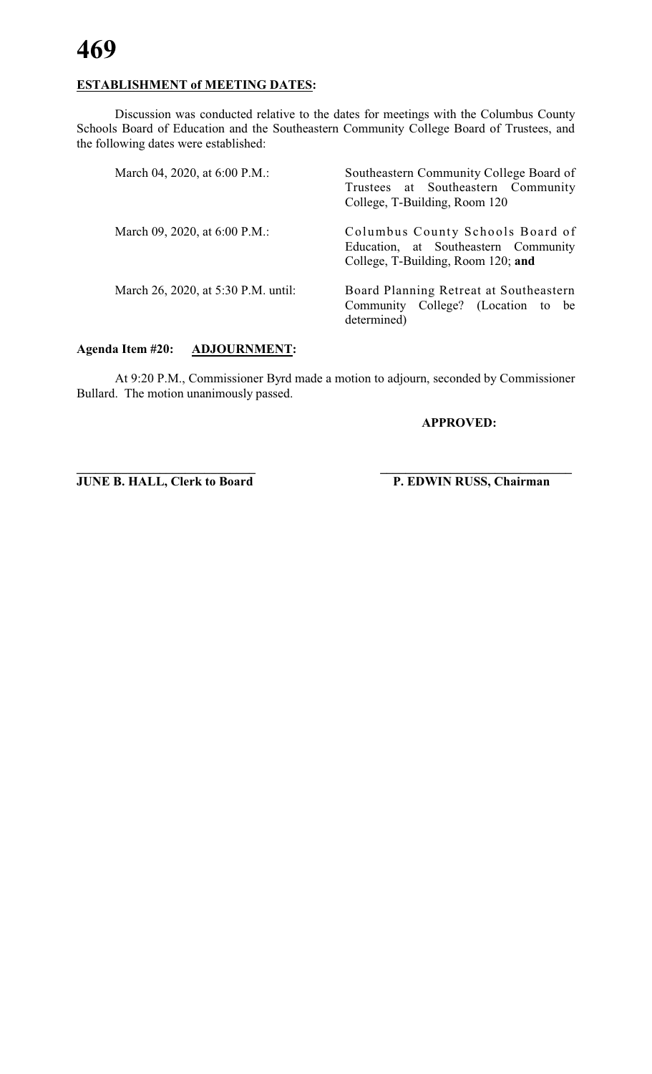

# **ESTABLISHMENT of MEETING DATES:**

Discussion was conducted relative to the dates for meetings with the Columbus County Schools Board of Education and the Southeastern Community College Board of Trustees, and the following dates were established:

| March 04, 2020, at 6:00 P.M.:       | Southeastern Community College Board of<br>Trustees at Southeastern Community<br>College, T-Building, Room 120 |
|-------------------------------------|----------------------------------------------------------------------------------------------------------------|
| March 09, 2020, at 6:00 P.M.:       | Columbus County Schools Board of<br>Education, at Southeastern Community<br>College, T-Building, Room 120; and |
| March 26, 2020, at 5:30 P.M. until: | Board Planning Retreat at Southeastern<br>Community College? (Location to be<br>determined)                    |

# **Agenda Item #20: ADJOURNMENT:**

At 9:20 P.M., Commissioner Byrd made a motion to adjourn, seconded by Commissioner Bullard. The motion unanimously passed.

**\_\_\_\_\_\_\_\_\_\_\_\_\_\_\_\_\_\_\_\_\_\_\_\_\_\_\_\_ \_\_\_\_\_\_\_\_\_\_\_\_\_\_\_\_\_\_\_\_\_\_\_\_\_\_\_\_\_\_**

**APPROVED:**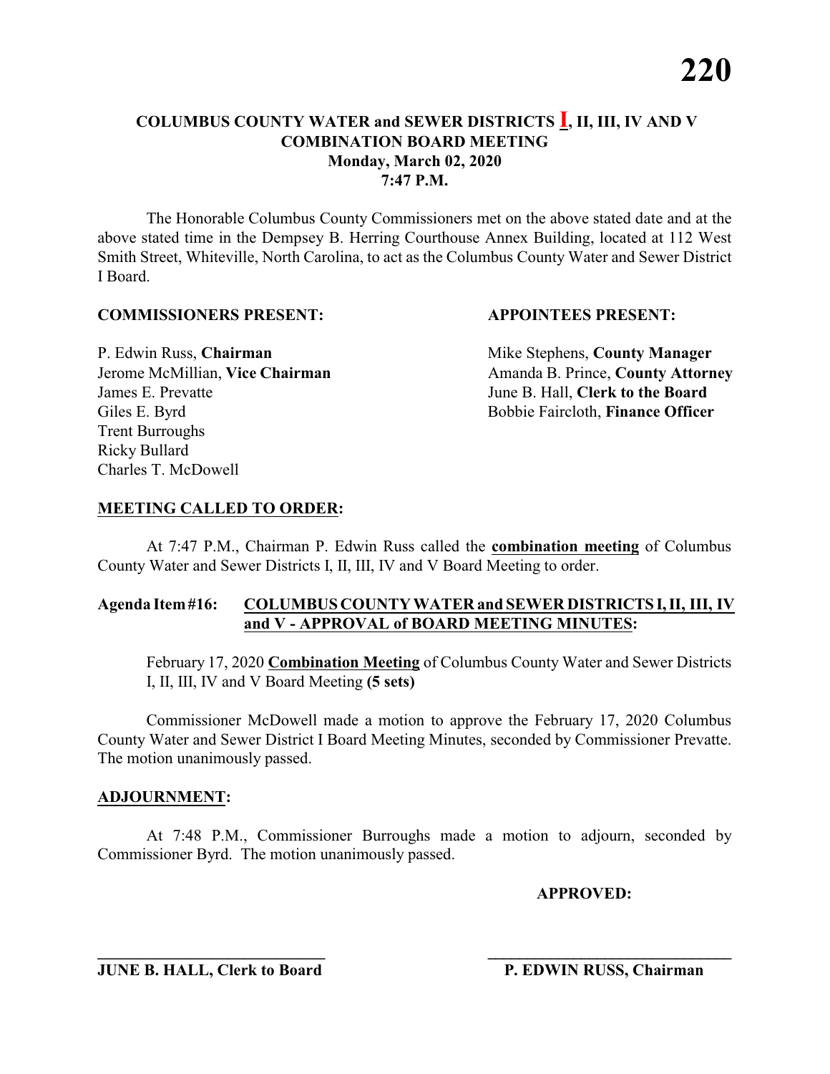The Honorable Columbus County Commissioners met on the above stated date and at the above stated time in the Dempsey B. Herring Courthouse Annex Building, located at 112 West Smith Street, Whiteville, North Carolina, to act as the Columbus County Water and Sewer District I Board.

### **COMMISSIONERS PRESENT: APPOINTEES PRESENT:**

P. Edwin Russ, **Chairman** Mike Stephens, **County Manager** James E. Prevatte June B. Hall, **Clerk to the Board** Giles E. Byrd **Bobbie Faircloth, Finance Officer** Trent Burroughs Ricky Bullard Charles T. McDowell

Jerome McMillian, Vice Chairman Amanda B. Prince, County Attorney

### **MEETING CALLED TO ORDER:**

At 7:47 P.M., Chairman P. Edwin Russ called the **combination meeting** of Columbus County Water and Sewer Districts I, II, III, IV and V Board Meeting to order.

### **Agenda Item#16: COLUMBUS COUNTY WATER and SEWER DISTRICTS I,II, III, IV and V - APPROVAL of BOARD MEETING MINUTES:**

February 17, 2020 **Combination Meeting** of Columbus County Water and Sewer Districts I, II, III, IV and V Board Meeting **(5 sets)**

Commissioner McDowell made a motion to approve the February 17, 2020 Columbus County Water and Sewer District I Board Meeting Minutes, seconded by Commissioner Prevatte. The motion unanimously passed.

### **ADJOURNMENT:**

At 7:48 P.M., Commissioner Burroughs made a motion to adjourn, seconded by Commissioner Byrd. The motion unanimously passed.

**\_\_\_\_\_\_\_\_\_\_\_\_\_\_\_\_\_\_\_\_\_\_\_\_\_\_\_\_ \_\_\_\_\_\_\_\_\_\_\_\_\_\_\_\_\_\_\_\_\_\_\_\_\_\_\_\_\_\_\_**

**APPROVED:**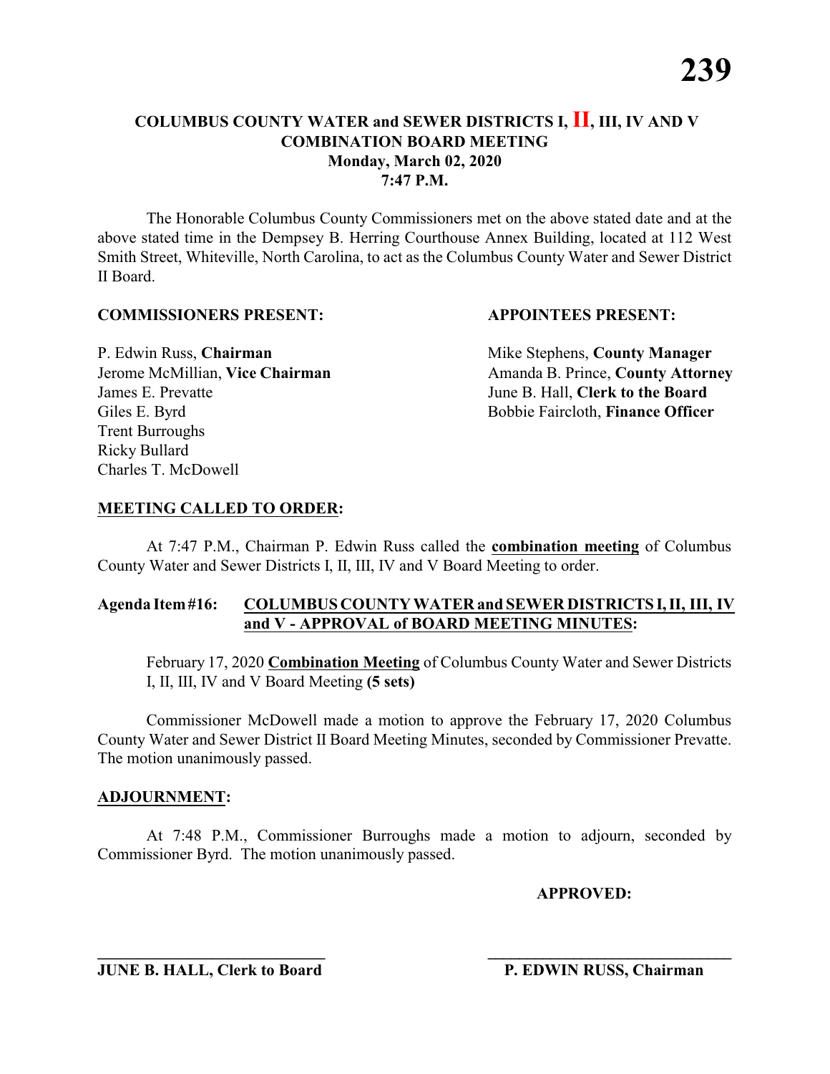The Honorable Columbus County Commissioners met on the above stated date and at the above stated time in the Dempsey B. Herring Courthouse Annex Building, located at 112 West Smith Street, Whiteville, North Carolina, to act as the Columbus County Water and Sewer District II Board.

### **COMMISSIONERS PRESENT: APPOINTEES PRESENT:**

P. Edwin Russ, **Chairman** Mike Stephens, **County Manager** James E. Prevatte June B. Hall, **Clerk to the Board** Giles E. Byrd **Bobbie Faircloth, Finance Officer** Trent Burroughs Ricky Bullard Charles T. McDowell

Jerome McMillian, Vice Chairman Amanda B. Prince, County Attorney

### **MEETING CALLED TO ORDER:**

At 7:47 P.M., Chairman P. Edwin Russ called the **combination meeting** of Columbus County Water and Sewer Districts I, II, III, IV and V Board Meeting to order.

### **Agenda Item#16: COLUMBUS COUNTY WATER and SEWER DISTRICTS I,II, III, IV and V - APPROVAL of BOARD MEETING MINUTES:**

February 17, 2020 **Combination Meeting** of Columbus County Water and Sewer Districts I, II, III, IV and V Board Meeting **(5 sets)**

Commissioner McDowell made a motion to approve the February 17, 2020 Columbus County Water and Sewer District II Board Meeting Minutes, seconded by Commissioner Prevatte. The motion unanimously passed.

### **ADJOURNMENT:**

At 7:48 P.M., Commissioner Burroughs made a motion to adjourn, seconded by Commissioner Byrd. The motion unanimously passed.

**\_\_\_\_\_\_\_\_\_\_\_\_\_\_\_\_\_\_\_\_\_\_\_\_\_\_\_\_ \_\_\_\_\_\_\_\_\_\_\_\_\_\_\_\_\_\_\_\_\_\_\_\_\_\_\_\_\_\_\_**

**APPROVED:**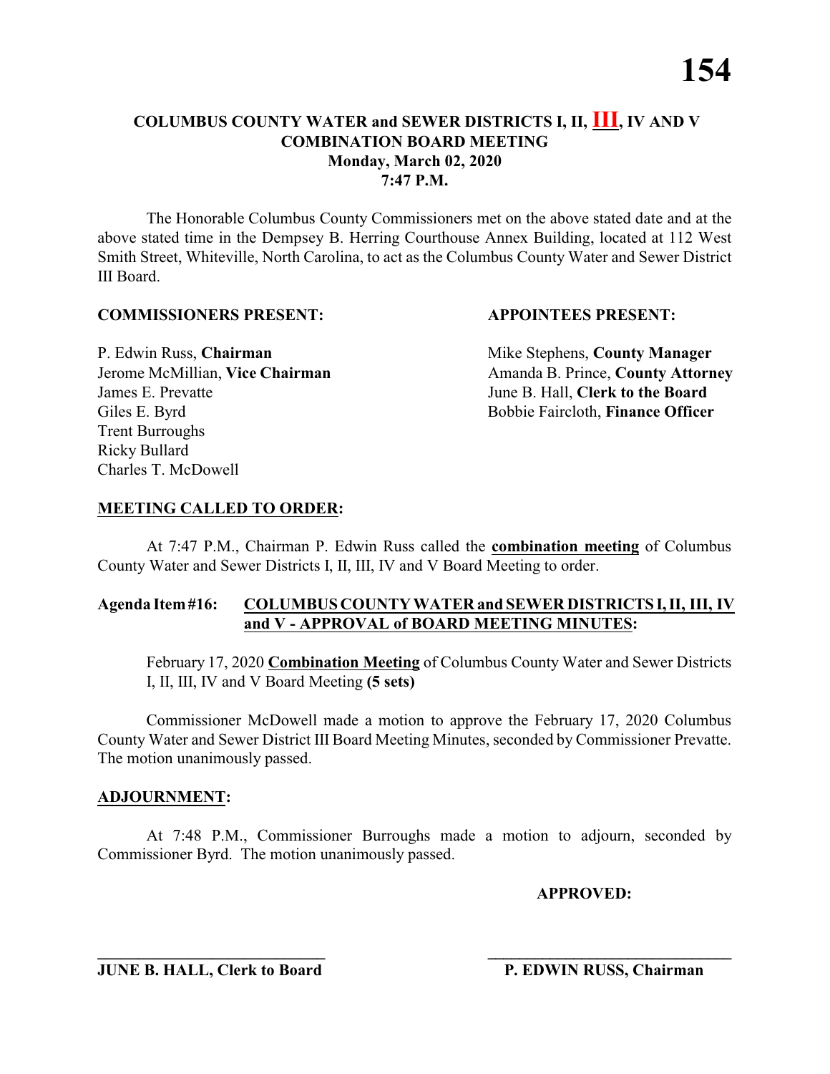The Honorable Columbus County Commissioners met on the above stated date and at the above stated time in the Dempsey B. Herring Courthouse Annex Building, located at 112 West Smith Street, Whiteville, North Carolina, to act as the Columbus County Water and Sewer District III Board.

### **COMMISSIONERS PRESENT: APPOINTEES PRESENT:**

P. Edwin Russ, **Chairman** Mike Stephens, **County Manager** James E. Prevatte June B. Hall, **Clerk to the Board** Giles E. Byrd **Bobbie Faircloth, Finance Officer** Trent Burroughs Ricky Bullard Charles T. McDowell

Jerome McMillian, Vice Chairman Amanda B. Prince, County Attorney

### **MEETING CALLED TO ORDER:**

At 7:47 P.M., Chairman P. Edwin Russ called the **combination meeting** of Columbus County Water and Sewer Districts I, II, III, IV and V Board Meeting to order.

### **Agenda Item#16: COLUMBUS COUNTY WATER and SEWER DISTRICTS I,II, III, IV and V - APPROVAL of BOARD MEETING MINUTES:**

February 17, 2020 **Combination Meeting** of Columbus County Water and Sewer Districts I, II, III, IV and V Board Meeting **(5 sets)**

Commissioner McDowell made a motion to approve the February 17, 2020 Columbus County Water and Sewer District III Board Meeting Minutes, seconded by Commissioner Prevatte. The motion unanimously passed.

### **ADJOURNMENT:**

At 7:48 P.M., Commissioner Burroughs made a motion to adjourn, seconded by Commissioner Byrd. The motion unanimously passed.

**\_\_\_\_\_\_\_\_\_\_\_\_\_\_\_\_\_\_\_\_\_\_\_\_\_\_\_\_ \_\_\_\_\_\_\_\_\_\_\_\_\_\_\_\_\_\_\_\_\_\_\_\_\_\_\_\_\_\_\_**

**APPROVED:**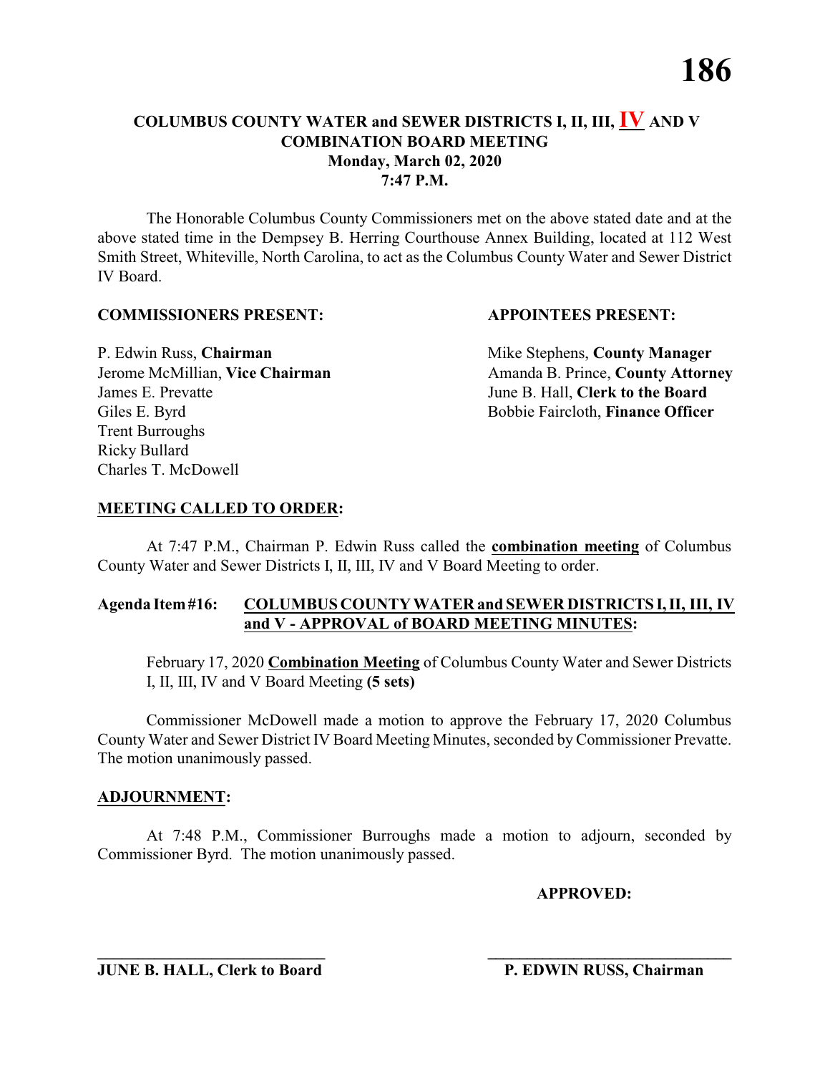The Honorable Columbus County Commissioners met on the above stated date and at the above stated time in the Dempsey B. Herring Courthouse Annex Building, located at 112 West Smith Street, Whiteville, North Carolina, to act as the Columbus County Water and Sewer District IV Board.

### **COMMISSIONERS PRESENT: APPOINTEES PRESENT:**

James E. Prevatte June B. Hall, **Clerk to the Board** Giles E. Byrd **Bobbie Faircloth, Finance Officer** Trent Burroughs Ricky Bullard Charles T. McDowell

P. Edwin Russ, **Chairman** Mike Stephens, **County Manager** Jerome McMillian, Vice Chairman Amanda B. Prince, County Attorney

### **MEETING CALLED TO ORDER:**

At 7:47 P.M., Chairman P. Edwin Russ called the **combination meeting** of Columbus County Water and Sewer Districts I, II, III, IV and V Board Meeting to order.

### **Agenda Item#16: COLUMBUS COUNTY WATER and SEWER DISTRICTS I,II, III, IV and V - APPROVAL of BOARD MEETING MINUTES:**

February 17, 2020 **Combination Meeting** of Columbus County Water and Sewer Districts I, II, III, IV and V Board Meeting **(5 sets)**

Commissioner McDowell made a motion to approve the February 17, 2020 Columbus County Water and Sewer District IV Board Meeting Minutes, seconded by Commissioner Prevatte. The motion unanimously passed.

### **ADJOURNMENT:**

At 7:48 P.M., Commissioner Burroughs made a motion to adjourn, seconded by Commissioner Byrd. The motion unanimously passed.

**\_\_\_\_\_\_\_\_\_\_\_\_\_\_\_\_\_\_\_\_\_\_\_\_\_\_\_\_ \_\_\_\_\_\_\_\_\_\_\_\_\_\_\_\_\_\_\_\_\_\_\_\_\_\_\_\_\_\_\_**

**APPROVED:**